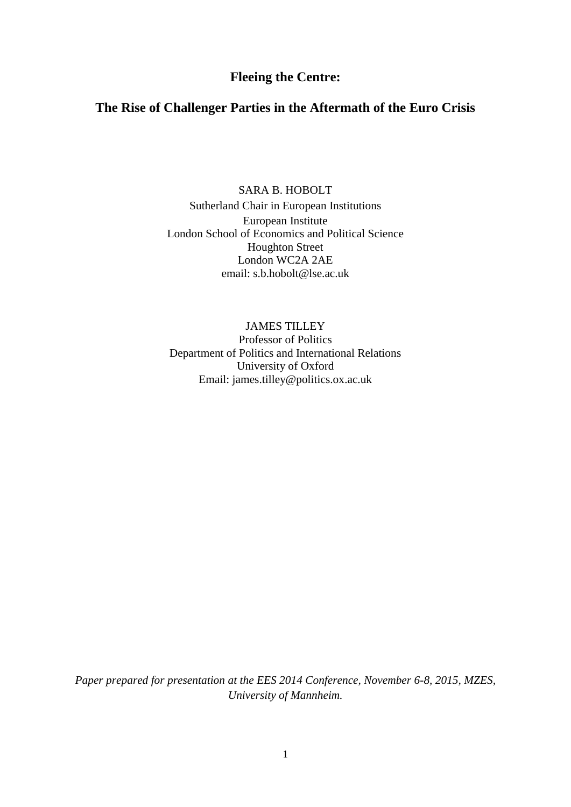# **Fleeing the Centre:**

# **The Rise of Challenger Parties in the Aftermath of the Euro Crisis**

SARA B. HOBOLT Sutherland Chair in European Institutions European Institute London School of Economics and Political Science Houghton Street London WC2A 2AE email: s.b.hobolt@lse.ac.uk

JAMES TILLEY Professor of Politics Department of Politics and International Relations University of Oxford Email: james.tilley@politics.ox.ac.uk

*Paper prepared for presentation at the EES 2014 Conference, November 6-8, 2015, MZES, University of Mannheim.*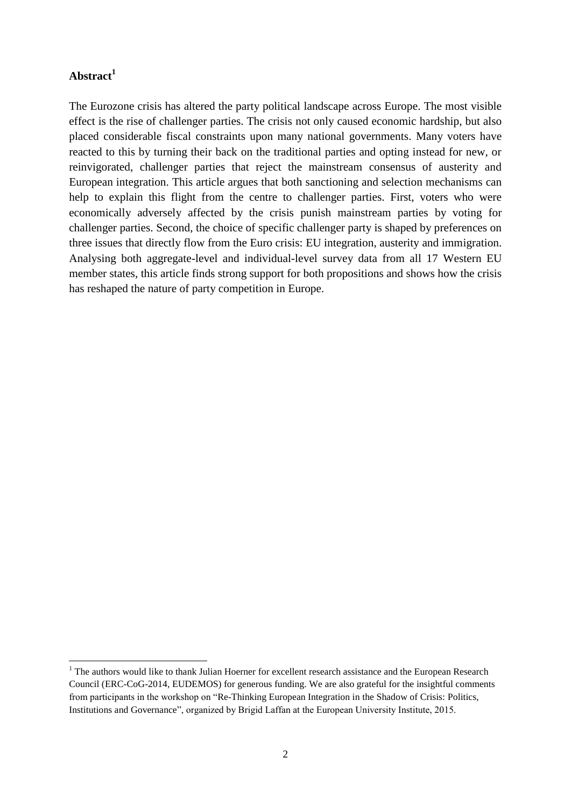# **Abstract<sup>1</sup>**

**.** 

The Eurozone crisis has altered the party political landscape across Europe. The most visible effect is the rise of challenger parties. The crisis not only caused economic hardship, but also placed considerable fiscal constraints upon many national governments. Many voters have reacted to this by turning their back on the traditional parties and opting instead for new, or reinvigorated, challenger parties that reject the mainstream consensus of austerity and European integration. This article argues that both sanctioning and selection mechanisms can help to explain this flight from the centre to challenger parties. First, voters who were economically adversely affected by the crisis punish mainstream parties by voting for challenger parties. Second, the choice of specific challenger party is shaped by preferences on three issues that directly flow from the Euro crisis: EU integration, austerity and immigration. Analysing both aggregate-level and individual-level survey data from all 17 Western EU member states, this article finds strong support for both propositions and shows how the crisis has reshaped the nature of party competition in Europe.

<sup>&</sup>lt;sup>1</sup> The authors would like to thank Julian Hoerner for excellent research assistance and the European Research Council (ERC-CoG-2014, EUDEMOS) for generous funding. We are also grateful for the insightful comments from participants in the workshop on "Re-Thinking European Integration in the Shadow of Crisis: Politics, Institutions and Governance", organized by Brigid Laffan at the European University Institute, 2015.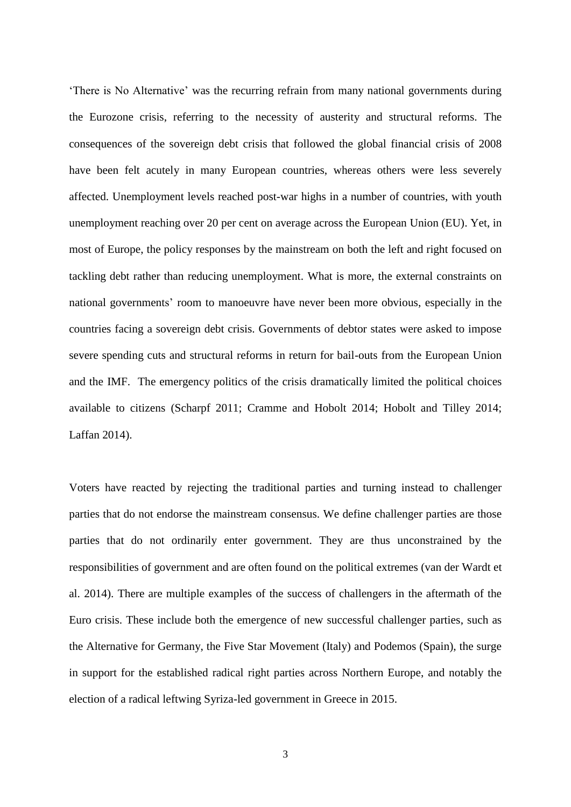'There is No Alternative' was the recurring refrain from many national governments during the Eurozone crisis, referring to the necessity of austerity and structural reforms. The consequences of the sovereign debt crisis that followed the global financial crisis of 2008 have been felt acutely in many European countries, whereas others were less severely affected. Unemployment levels reached post-war highs in a number of countries, with youth unemployment reaching over 20 per cent on average across the European Union (EU). Yet, in most of Europe, the policy responses by the mainstream on both the left and right focused on tackling debt rather than reducing unemployment. What is more, the external constraints on national governments' room to manoeuvre have never been more obvious, especially in the countries facing a sovereign debt crisis. Governments of debtor states were asked to impose severe spending cuts and structural reforms in return for bail-outs from the European Union and the IMF. The emergency politics of the crisis dramatically limited the political choices available to citizens (Scharpf 2011; Cramme and Hobolt 2014; Hobolt and Tilley 2014; Laffan 2014).

Voters have reacted by rejecting the traditional parties and turning instead to challenger parties that do not endorse the mainstream consensus. We define challenger parties are those parties that do not ordinarily enter government. They are thus unconstrained by the responsibilities of government and are often found on the political extremes (van der Wardt et al. 2014). There are multiple examples of the success of challengers in the aftermath of the Euro crisis. These include both the emergence of new successful challenger parties, such as the Alternative for Germany, the Five Star Movement (Italy) and Podemos (Spain), the surge in support for the established radical right parties across Northern Europe, and notably the election of a radical leftwing Syriza-led government in Greece in 2015.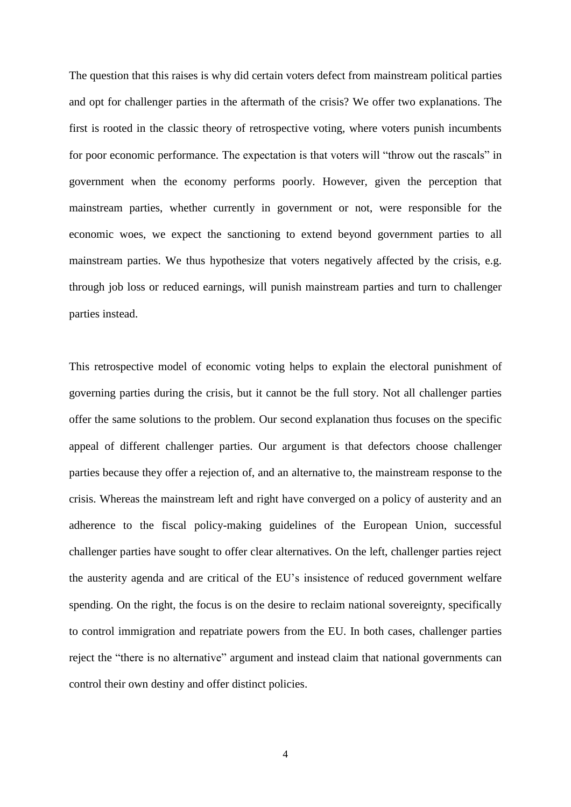The question that this raises is why did certain voters defect from mainstream political parties and opt for challenger parties in the aftermath of the crisis? We offer two explanations. The first is rooted in the classic theory of retrospective voting, where voters punish incumbents for poor economic performance. The expectation is that voters will "throw out the rascals" in government when the economy performs poorly. However, given the perception that mainstream parties, whether currently in government or not, were responsible for the economic woes, we expect the sanctioning to extend beyond government parties to all mainstream parties. We thus hypothesize that voters negatively affected by the crisis, e.g. through job loss or reduced earnings, will punish mainstream parties and turn to challenger parties instead.

This retrospective model of economic voting helps to explain the electoral punishment of governing parties during the crisis, but it cannot be the full story. Not all challenger parties offer the same solutions to the problem. Our second explanation thus focuses on the specific appeal of different challenger parties. Our argument is that defectors choose challenger parties because they offer a rejection of, and an alternative to, the mainstream response to the crisis. Whereas the mainstream left and right have converged on a policy of austerity and an adherence to the fiscal policy-making guidelines of the European Union, successful challenger parties have sought to offer clear alternatives. On the left, challenger parties reject the austerity agenda and are critical of the EU's insistence of reduced government welfare spending. On the right, the focus is on the desire to reclaim national sovereignty, specifically to control immigration and repatriate powers from the EU. In both cases, challenger parties reject the "there is no alternative" argument and instead claim that national governments can control their own destiny and offer distinct policies.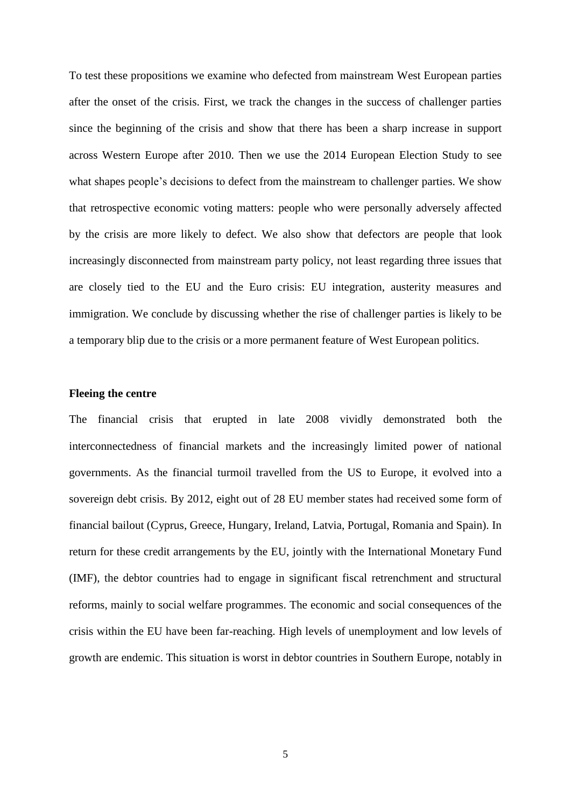To test these propositions we examine who defected from mainstream West European parties after the onset of the crisis. First, we track the changes in the success of challenger parties since the beginning of the crisis and show that there has been a sharp increase in support across Western Europe after 2010. Then we use the 2014 European Election Study to see what shapes people's decisions to defect from the mainstream to challenger parties. We show that retrospective economic voting matters: people who were personally adversely affected by the crisis are more likely to defect. We also show that defectors are people that look increasingly disconnected from mainstream party policy, not least regarding three issues that are closely tied to the EU and the Euro crisis: EU integration, austerity measures and immigration. We conclude by discussing whether the rise of challenger parties is likely to be a temporary blip due to the crisis or a more permanent feature of West European politics.

### **Fleeing the centre**

The financial crisis that erupted in late 2008 vividly demonstrated both the interconnectedness of financial markets and the increasingly limited power of national governments. As the financial turmoil travelled from the US to Europe, it evolved into a sovereign debt crisis. By 2012, eight out of 28 EU member states had received some form of financial bailout (Cyprus, Greece, Hungary, Ireland, Latvia, Portugal, Romania and Spain). In return for these credit arrangements by the EU, jointly with the International Monetary Fund (IMF), the debtor countries had to engage in significant fiscal retrenchment and structural reforms, mainly to social welfare programmes. The economic and social consequences of the crisis within the EU have been far-reaching. High levels of unemployment and low levels of growth are endemic. This situation is worst in debtor countries in Southern Europe, notably in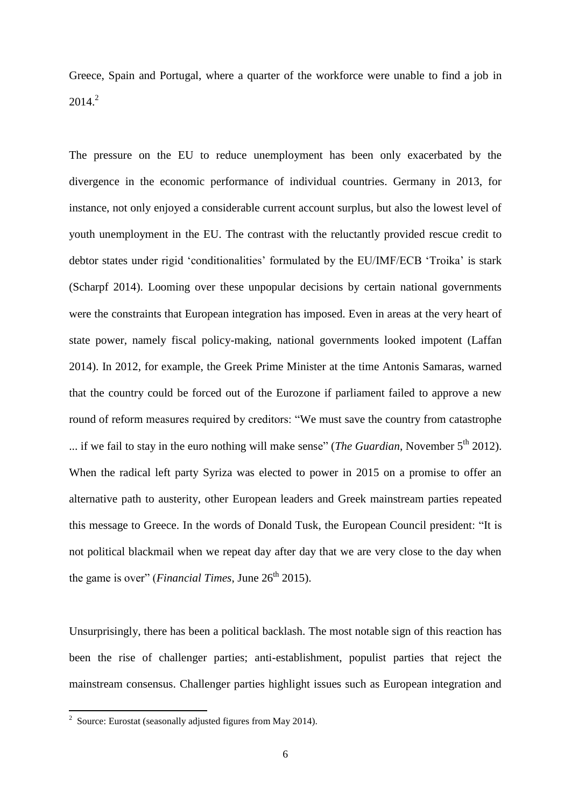Greece, Spain and Portugal, where a quarter of the workforce were unable to find a job in  $2014.<sup>2</sup>$ 

The pressure on the EU to reduce unemployment has been only exacerbated by the divergence in the economic performance of individual countries. Germany in 2013, for instance, not only enjoyed a considerable current account surplus, but also the lowest level of youth unemployment in the EU. The contrast with the reluctantly provided rescue credit to debtor states under rigid 'conditionalities' formulated by the EU/IMF/ECB 'Troika' is stark (Scharpf 2014). Looming over these unpopular decisions by certain national governments were the constraints that European integration has imposed. Even in areas at the very heart of state power, namely fiscal policy-making, national governments looked impotent (Laffan 2014). In 2012, for example, the Greek Prime Minister at the time Antonis Samaras, warned that the country could be forced out of the Eurozone if parliament failed to approve a new round of reform measures required by creditors: "We must save the country from catastrophe ... if we fail to stay in the euro nothing will make sense" (*The Guardian*, November 5<sup>th</sup> 2012). When the radical left party Syriza was elected to power in 2015 on a promise to offer an alternative path to austerity, other European leaders and Greek mainstream parties repeated this message to Greece. In the words of Donald Tusk, the European Council president: "It is not political blackmail when we repeat day after day that we are very close to the day when the game is over" (*Financial Times*, June  $26<sup>th</sup> 2015$ ).

Unsurprisingly, there has been a political backlash. The most notable sign of this reaction has been the rise of challenger parties; anti-establishment, populist parties that reject the mainstream consensus. Challenger parties highlight issues such as European integration and

 2 Source: Eurostat (seasonally adjusted figures from May 2014).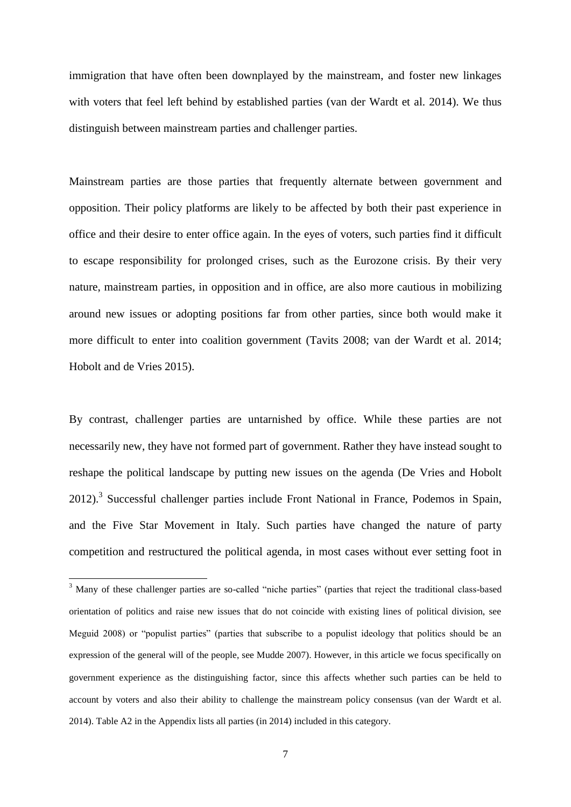immigration that have often been downplayed by the mainstream, and foster new linkages with voters that feel left behind by established parties (van der Wardt et al. 2014). We thus distinguish between mainstream parties and challenger parties.

Mainstream parties are those parties that frequently alternate between government and opposition. Their policy platforms are likely to be affected by both their past experience in office and their desire to enter office again. In the eyes of voters, such parties find it difficult to escape responsibility for prolonged crises, such as the Eurozone crisis. By their very nature, mainstream parties, in opposition and in office, are also more cautious in mobilizing around new issues or adopting positions far from other parties, since both would make it more difficult to enter into coalition government (Tavits 2008; van der Wardt et al. 2014; Hobolt and de Vries 2015).

By contrast, challenger parties are untarnished by office. While these parties are not necessarily new, they have not formed part of government. Rather they have instead sought to reshape the political landscape by putting new issues on the agenda (De Vries and Hobolt 2012).<sup>3</sup> Successful challenger parties include Front National in France, Podemos in Spain, and the Five Star Movement in Italy. Such parties have changed the nature of party competition and restructured the political agenda, in most cases without ever setting foot in

**.** 

 $3$  Many of these challenger parties are so-called "niche parties" (parties that reject the traditional class-based orientation of politics and raise new issues that do not coincide with existing lines of political division, see Meguid 2008) or "populist parties" (parties that subscribe to a populist ideology that politics should be an expression of the general will of the people, see Mudde 2007). However, in this article we focus specifically on government experience as the distinguishing factor, since this affects whether such parties can be held to account by voters and also their ability to challenge the mainstream policy consensus (van der Wardt et al. 2014). Table A2 in the Appendix lists all parties (in 2014) included in this category.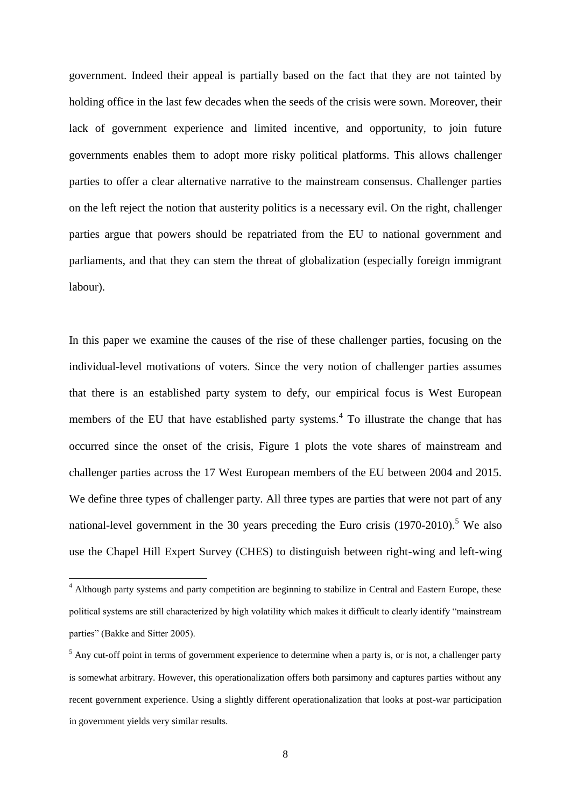government. Indeed their appeal is partially based on the fact that they are not tainted by holding office in the last few decades when the seeds of the crisis were sown. Moreover, their lack of government experience and limited incentive, and opportunity, to join future governments enables them to adopt more risky political platforms. This allows challenger parties to offer a clear alternative narrative to the mainstream consensus. Challenger parties on the left reject the notion that austerity politics is a necessary evil. On the right, challenger parties argue that powers should be repatriated from the EU to national government and parliaments, and that they can stem the threat of globalization (especially foreign immigrant labour).

In this paper we examine the causes of the rise of these challenger parties, focusing on the individual-level motivations of voters. Since the very notion of challenger parties assumes that there is an established party system to defy, our empirical focus is West European members of the EU that have established party systems.<sup>4</sup> To illustrate the change that has occurred since the onset of the crisis, Figure 1 plots the vote shares of mainstream and challenger parties across the 17 West European members of the EU between 2004 and 2015. We define three types of challenger party. All three types are parties that were not part of any national-level government in the 30 years preceding the Euro crisis  $(1970-2010)$ <sup>5</sup> We also use the Chapel Hill Expert Survey (CHES) to distinguish between right-wing and left-wing

**.** 

<sup>&</sup>lt;sup>4</sup> Although party systems and party competition are beginning to stabilize in Central and Eastern Europe, these political systems are still characterized by high volatility which makes it difficult to clearly identify "mainstream parties" (Bakke and Sitter 2005).

 $<sup>5</sup>$  Any cut-off point in terms of government experience to determine when a party is, or is not, a challenger party</sup> is somewhat arbitrary. However, this operationalization offers both parsimony and captures parties without any recent government experience. Using a slightly different operationalization that looks at post-war participation in government yields very similar results.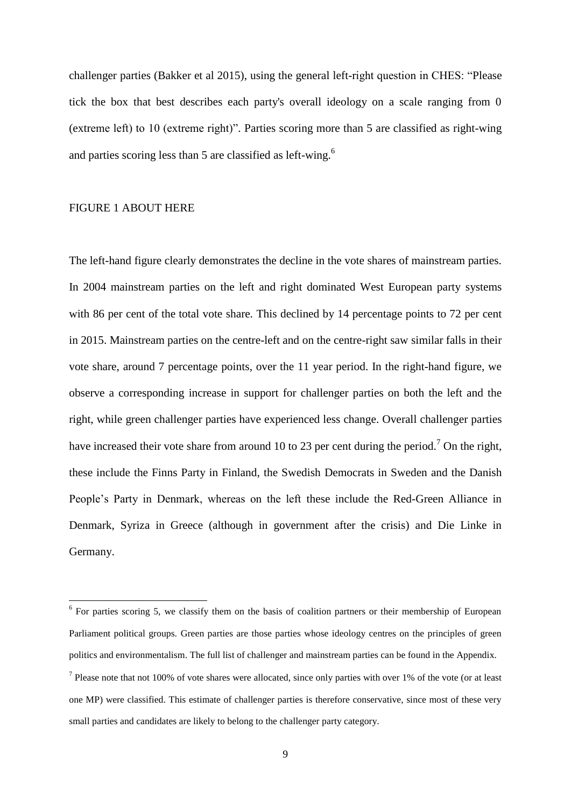challenger parties (Bakker et al 2015), using the general left-right question in CHES: "Please tick the box that best describes each party's overall ideology on a scale ranging from 0 (extreme left) to 10 (extreme right)". Parties scoring more than 5 are classified as right-wing and parties scoring less than 5 are classified as left-wing.<sup>6</sup>

### FIGURE 1 ABOUT HERE

The left-hand figure clearly demonstrates the decline in the vote shares of mainstream parties. In 2004 mainstream parties on the left and right dominated West European party systems with 86 per cent of the total vote share. This declined by 14 percentage points to 72 per cent in 2015. Mainstream parties on the centre-left and on the centre-right saw similar falls in their vote share, around 7 percentage points, over the 11 year period. In the right-hand figure, we observe a corresponding increase in support for challenger parties on both the left and the right, while green challenger parties have experienced less change. Overall challenger parties have increased their vote share from around 10 to 23 per cent during the period.<sup>7</sup> On the right, these include the Finns Party in Finland, the Swedish Democrats in Sweden and the Danish People's Party in Denmark, whereas on the left these include the Red-Green Alliance in Denmark, Syriza in Greece (although in government after the crisis) and Die Linke in Germany.

<sup>&</sup>lt;sup>6</sup> For parties scoring 5, we classify them on the basis of coalition partners or their membership of European Parliament political groups. Green parties are those parties whose ideology centres on the principles of green politics and environmentalism. The full list of challenger and mainstream parties can be found in the Appendix.

<sup>&</sup>lt;sup>7</sup> Please note that not 100% of vote shares were allocated, since only parties with over 1% of the vote (or at least one MP) were classified. This estimate of challenger parties is therefore conservative, since most of these very small parties and candidates are likely to belong to the challenger party category.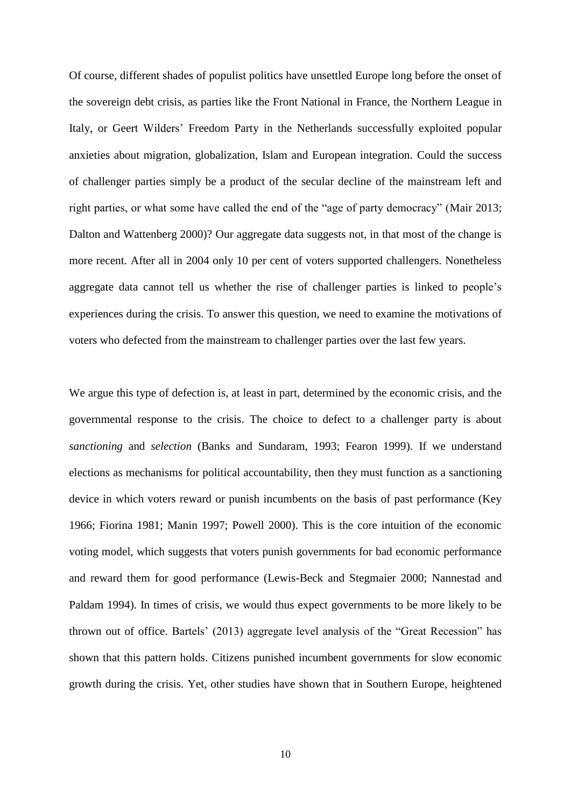Of course, different shades of populist politics have unsettled Europe long before the onset of the sovereign debt crisis, as parties like the Front National in France, the Northern League in Italy, or Geert Wilders' Freedom Party in the Netherlands successfully exploited popular anxieties about migration, globalization, Islam and European integration. Could the success of challenger parties simply be a product of the secular decline of the mainstream left and right parties, or what some have called the end of the "age of party democracy" (Mair 2013; Dalton and Wattenberg 2000)? Our aggregate data suggests not, in that most of the change is more recent. After all in 2004 only 10 per cent of voters supported challengers. Nonetheless aggregate data cannot tell us whether the rise of challenger parties is linked to people's experiences during the crisis. To answer this question, we need to examine the motivations of voters who defected from the mainstream to challenger parties over the last few years.

We argue this type of defection is, at least in part, determined by the economic crisis, and the governmental response to the crisis. The choice to defect to a challenger party is about *sanctioning* and *selection* (Banks and Sundaram, 1993; Fearon 1999). If we understand elections as mechanisms for political accountability, then they must function as a sanctioning device in which voters reward or punish incumbents on the basis of past performance (Key 1966; Fiorina 1981; Manin 1997; Powell 2000). This is the core intuition of the economic voting model, which suggests that voters punish governments for bad economic performance and reward them for good performance (Lewis-Beck and Stegmaier 2000; Nannestad and Paldam 1994). In times of crisis, we would thus expect governments to be more likely to be thrown out of office. Bartels' (2013) aggregate level analysis of the "Great Recession" has shown that this pattern holds. Citizens punished incumbent governments for slow economic growth during the crisis. Yet, other studies have shown that in Southern Europe, heightened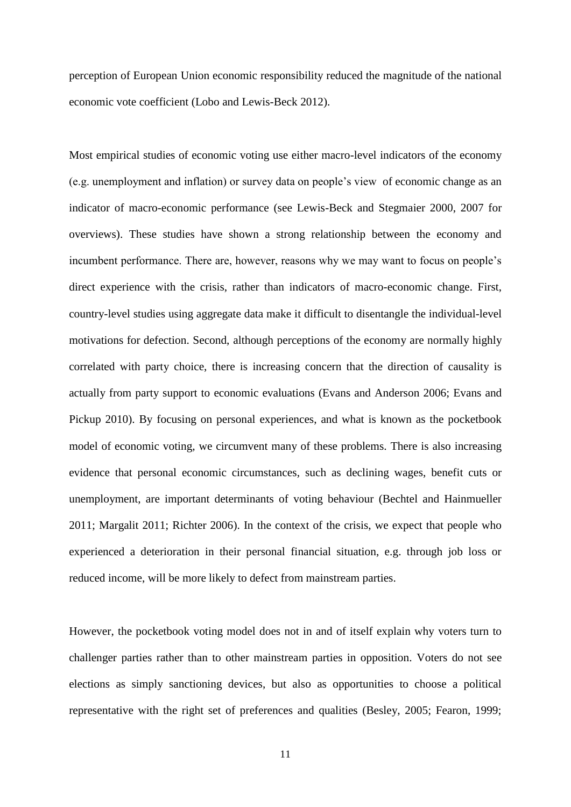perception of European Union economic responsibility reduced the magnitude of the national economic vote coefficient (Lobo and Lewis-Beck 2012).

Most empirical studies of economic voting use either macro-level indicators of the economy (e.g. unemployment and inflation) or survey data on people's view of economic change as an indicator of macro-economic performance (see Lewis-Beck and Stegmaier 2000, 2007 for overviews). These studies have shown a strong relationship between the economy and incumbent performance. There are, however, reasons why we may want to focus on people's direct experience with the crisis, rather than indicators of macro-economic change. First, country-level studies using aggregate data make it difficult to disentangle the individual-level motivations for defection. Second, although perceptions of the economy are normally highly correlated with party choice, there is increasing concern that the direction of causality is actually from party support to economic evaluations (Evans and Anderson 2006; Evans and Pickup 2010). By focusing on personal experiences, and what is known as the pocketbook model of economic voting, we circumvent many of these problems. There is also increasing evidence that personal economic circumstances, such as declining wages, benefit cuts or unemployment, are important determinants of voting behaviour (Bechtel and Hainmueller 2011; Margalit 2011; Richter 2006). In the context of the crisis, we expect that people who experienced a deterioration in their personal financial situation, e.g. through job loss or reduced income, will be more likely to defect from mainstream parties.

However, the pocketbook voting model does not in and of itself explain why voters turn to challenger parties rather than to other mainstream parties in opposition. Voters do not see elections as simply sanctioning devices, but also as opportunities to choose a political representative with the right set of preferences and qualities (Besley, 2005; Fearon, 1999;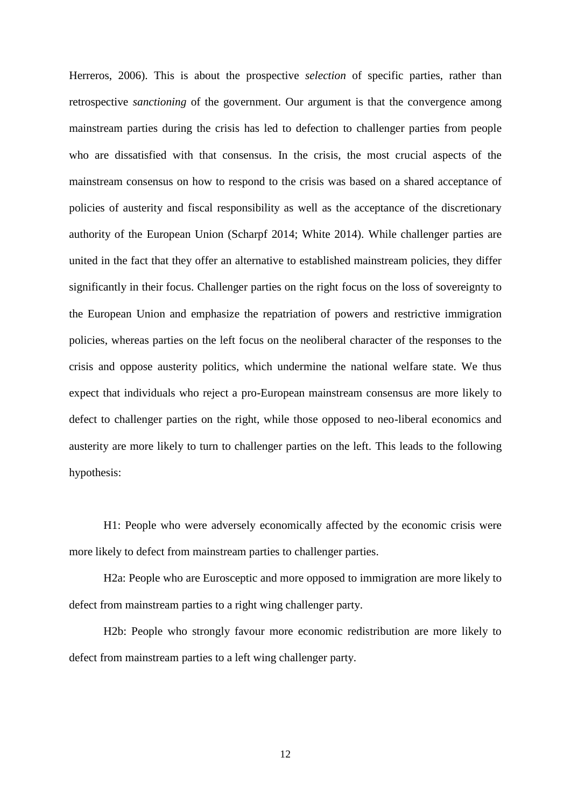Herreros, 2006). This is about the prospective *selection* of specific parties, rather than retrospective *sanctioning* of the government. Our argument is that the convergence among mainstream parties during the crisis has led to defection to challenger parties from people who are dissatisfied with that consensus. In the crisis, the most crucial aspects of the mainstream consensus on how to respond to the crisis was based on a shared acceptance of policies of austerity and fiscal responsibility as well as the acceptance of the discretionary authority of the European Union (Scharpf 2014; White 2014). While challenger parties are united in the fact that they offer an alternative to established mainstream policies, they differ significantly in their focus. Challenger parties on the right focus on the loss of sovereignty to the European Union and emphasize the repatriation of powers and restrictive immigration policies, whereas parties on the left focus on the neoliberal character of the responses to the crisis and oppose austerity politics, which undermine the national welfare state. We thus expect that individuals who reject a pro-European mainstream consensus are more likely to defect to challenger parties on the right, while those opposed to neo-liberal economics and austerity are more likely to turn to challenger parties on the left. This leads to the following hypothesis:

H1: People who were adversely economically affected by the economic crisis were more likely to defect from mainstream parties to challenger parties.

H2a: People who are Eurosceptic and more opposed to immigration are more likely to defect from mainstream parties to a right wing challenger party.

H2b: People who strongly favour more economic redistribution are more likely to defect from mainstream parties to a left wing challenger party.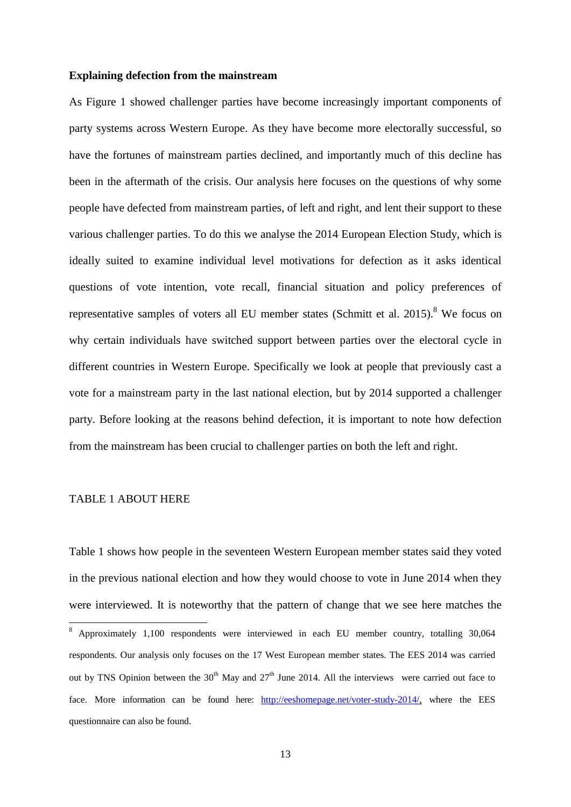### **Explaining defection from the mainstream**

As Figure 1 showed challenger parties have become increasingly important components of party systems across Western Europe. As they have become more electorally successful, so have the fortunes of mainstream parties declined, and importantly much of this decline has been in the aftermath of the crisis. Our analysis here focuses on the questions of why some people have defected from mainstream parties, of left and right, and lent their support to these various challenger parties. To do this we analyse the 2014 European Election Study, which is ideally suited to examine individual level motivations for defection as it asks identical questions of vote intention, vote recall, financial situation and policy preferences of representative samples of voters all EU member states (Schmitt et al.  $2015$ ).<sup>8</sup> We focus on why certain individuals have switched support between parties over the electoral cycle in different countries in Western Europe. Specifically we look at people that previously cast a vote for a mainstream party in the last national election, but by 2014 supported a challenger party. Before looking at the reasons behind defection, it is important to note how defection from the mainstream has been crucial to challenger parties on both the left and right.

### TABLE 1 ABOUT HERE

**.** 

Table 1 shows how people in the seventeen Western European member states said they voted in the previous national election and how they would choose to vote in June 2014 when they were interviewed. It is noteworthy that the pattern of change that we see here matches the

<sup>8</sup> Approximately 1,100 respondents were interviewed in each EU member country, totalling 30,064 respondents. Our analysis only focuses on the 17 West European member states. The EES 2014 was carried out by TNS Opinion between the  $30<sup>th</sup>$  May and  $27<sup>th</sup>$  June 2014. All the interviews were carried out face to face. More information can be found here: [http://eeshomepage.net/voter-study-2014/,](http://eeshomepage.net/voter-study-2014/) where the EES questionnaire can also be found.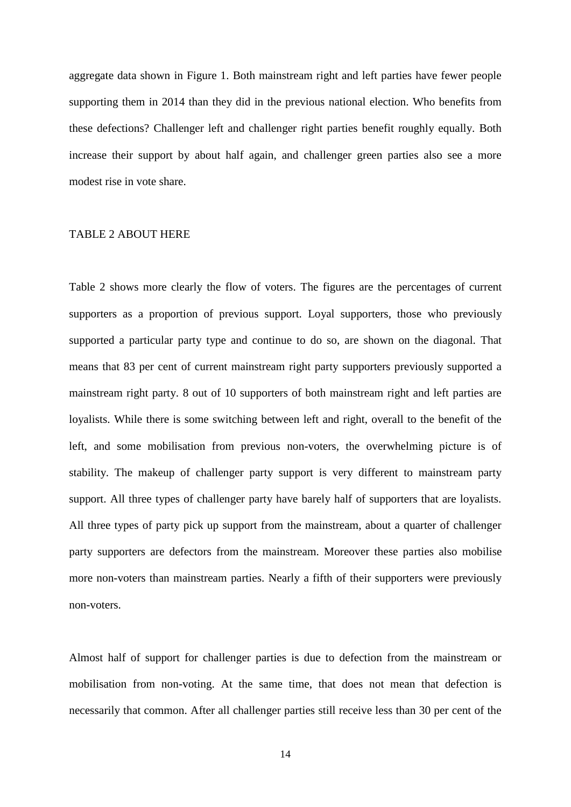aggregate data shown in Figure 1. Both mainstream right and left parties have fewer people supporting them in 2014 than they did in the previous national election. Who benefits from these defections? Challenger left and challenger right parties benefit roughly equally. Both increase their support by about half again, and challenger green parties also see a more modest rise in vote share.

#### TABLE 2 ABOUT HERE

Table 2 shows more clearly the flow of voters. The figures are the percentages of current supporters as a proportion of previous support. Loyal supporters, those who previously supported a particular party type and continue to do so, are shown on the diagonal. That means that 83 per cent of current mainstream right party supporters previously supported a mainstream right party. 8 out of 10 supporters of both mainstream right and left parties are loyalists. While there is some switching between left and right, overall to the benefit of the left, and some mobilisation from previous non-voters, the overwhelming picture is of stability. The makeup of challenger party support is very different to mainstream party support. All three types of challenger party have barely half of supporters that are loyalists. All three types of party pick up support from the mainstream, about a quarter of challenger party supporters are defectors from the mainstream. Moreover these parties also mobilise more non-voters than mainstream parties. Nearly a fifth of their supporters were previously non-voters.

Almost half of support for challenger parties is due to defection from the mainstream or mobilisation from non-voting. At the same time, that does not mean that defection is necessarily that common. After all challenger parties still receive less than 30 per cent of the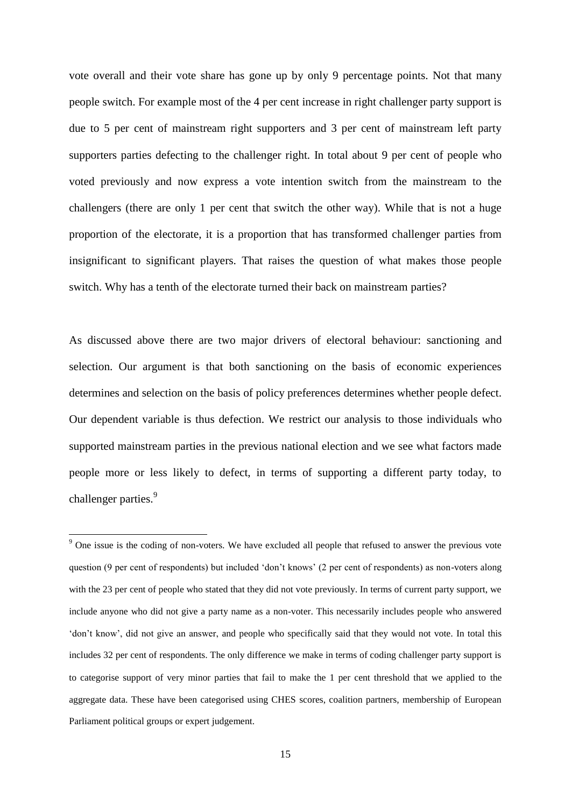vote overall and their vote share has gone up by only 9 percentage points. Not that many people switch. For example most of the 4 per cent increase in right challenger party support is due to 5 per cent of mainstream right supporters and 3 per cent of mainstream left party supporters parties defecting to the challenger right. In total about 9 per cent of people who voted previously and now express a vote intention switch from the mainstream to the challengers (there are only 1 per cent that switch the other way). While that is not a huge proportion of the electorate, it is a proportion that has transformed challenger parties from insignificant to significant players. That raises the question of what makes those people switch. Why has a tenth of the electorate turned their back on mainstream parties?

As discussed above there are two major drivers of electoral behaviour: sanctioning and selection. Our argument is that both sanctioning on the basis of economic experiences determines and selection on the basis of policy preferences determines whether people defect. Our dependent variable is thus defection. We restrict our analysis to those individuals who supported mainstream parties in the previous national election and we see what factors made people more or less likely to defect, in terms of supporting a different party today, to challenger parties.<sup>9</sup>

1

<sup>&</sup>lt;sup>9</sup> One issue is the coding of non-voters. We have excluded all people that refused to answer the previous vote question (9 per cent of respondents) but included 'don't knows' (2 per cent of respondents) as non-voters along with the 23 per cent of people who stated that they did not vote previously. In terms of current party support, we include anyone who did not give a party name as a non-voter. This necessarily includes people who answered 'don't know', did not give an answer, and people who specifically said that they would not vote. In total this includes 32 per cent of respondents. The only difference we make in terms of coding challenger party support is to categorise support of very minor parties that fail to make the 1 per cent threshold that we applied to the aggregate data. These have been categorised using CHES scores, coalition partners, membership of European Parliament political groups or expert judgement.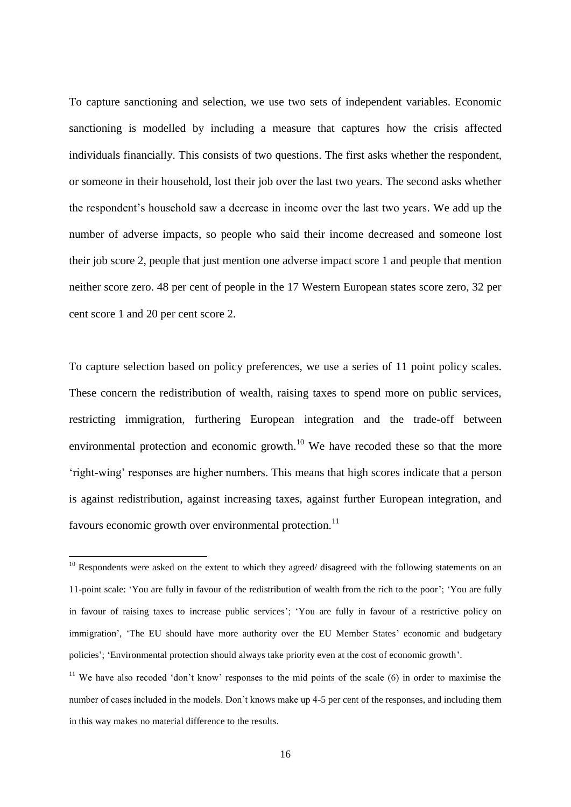To capture sanctioning and selection, we use two sets of independent variables. Economic sanctioning is modelled by including a measure that captures how the crisis affected individuals financially. This consists of two questions. The first asks whether the respondent, or someone in their household, lost their job over the last two years. The second asks whether the respondent's household saw a decrease in income over the last two years. We add up the number of adverse impacts, so people who said their income decreased and someone lost their job score 2, people that just mention one adverse impact score 1 and people that mention neither score zero. 48 per cent of people in the 17 Western European states score zero, 32 per cent score 1 and 20 per cent score 2.

To capture selection based on policy preferences, we use a series of 11 point policy scales. These concern the redistribution of wealth, raising taxes to spend more on public services, restricting immigration, furthering European integration and the trade-off between environmental protection and economic growth.<sup>10</sup> We have recoded these so that the more 'right-wing' responses are higher numbers. This means that high scores indicate that a person is against redistribution, against increasing taxes, against further European integration, and favours economic growth over environmental protection.<sup>11</sup>

**.** 

 $10$  Respondents were asked on the extent to which they agreed/ disagreed with the following statements on an 11-point scale: 'You are fully in favour of the redistribution of wealth from the rich to the poor'; 'You are fully in favour of raising taxes to increase public services'; 'You are fully in favour of a restrictive policy on immigration', 'The EU should have more authority over the EU Member States' economic and budgetary policies'; 'Environmental protection should always take priority even at the cost of economic growth'.

<sup>&</sup>lt;sup>11</sup> We have also recoded 'don't know' responses to the mid points of the scale (6) in order to maximise the number of cases included in the models. Don't knows make up 4-5 per cent of the responses, and including them in this way makes no material difference to the results.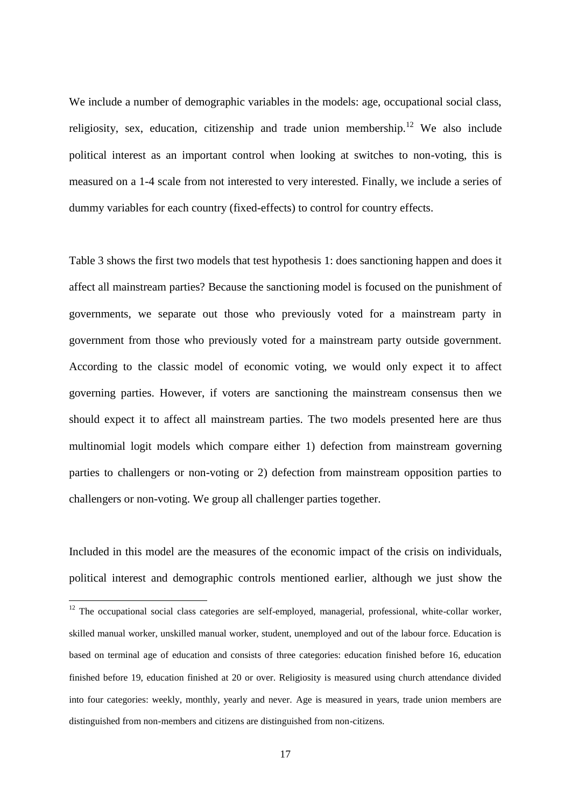We include a number of demographic variables in the models: age, occupational social class, religiosity, sex, education, citizenship and trade union membership.<sup>12</sup> We also include political interest as an important control when looking at switches to non-voting, this is measured on a 1-4 scale from not interested to very interested. Finally, we include a series of dummy variables for each country (fixed-effects) to control for country effects.

Table 3 shows the first two models that test hypothesis 1: does sanctioning happen and does it affect all mainstream parties? Because the sanctioning model is focused on the punishment of governments, we separate out those who previously voted for a mainstream party in government from those who previously voted for a mainstream party outside government. According to the classic model of economic voting, we would only expect it to affect governing parties. However, if voters are sanctioning the mainstream consensus then we should expect it to affect all mainstream parties. The two models presented here are thus multinomial logit models which compare either 1) defection from mainstream governing parties to challengers or non-voting or 2) defection from mainstream opposition parties to challengers or non-voting. We group all challenger parties together.

Included in this model are the measures of the economic impact of the crisis on individuals, political interest and demographic controls mentioned earlier, although we just show the

1

 $12$  The occupational social class categories are self-employed, managerial, professional, white-collar worker, skilled manual worker, unskilled manual worker, student, unemployed and out of the labour force. Education is based on terminal age of education and consists of three categories: education finished before 16, education finished before 19, education finished at 20 or over. Religiosity is measured using church attendance divided into four categories: weekly, monthly, yearly and never. Age is measured in years, trade union members are distinguished from non-members and citizens are distinguished from non-citizens.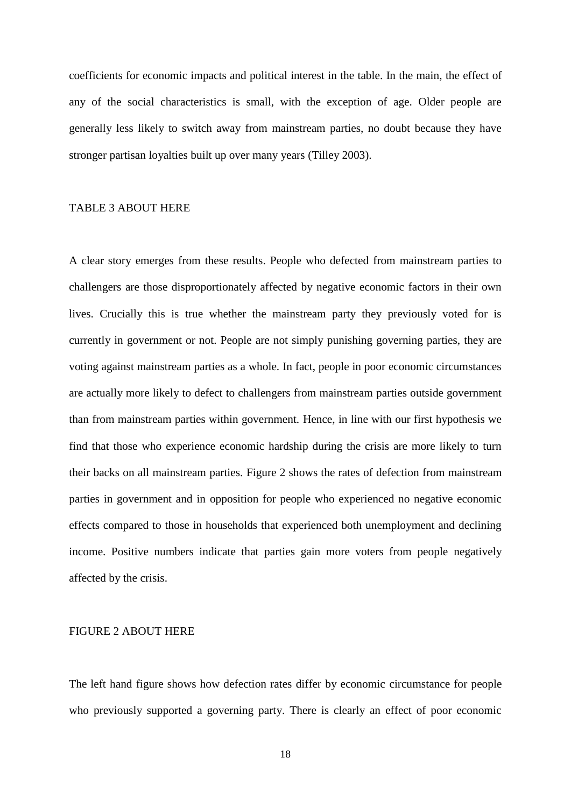coefficients for economic impacts and political interest in the table. In the main, the effect of any of the social characteristics is small, with the exception of age. Older people are generally less likely to switch away from mainstream parties, no doubt because they have stronger partisan loyalties built up over many years (Tilley 2003).

### TABLE 3 ABOUT HERE

A clear story emerges from these results. People who defected from mainstream parties to challengers are those disproportionately affected by negative economic factors in their own lives. Crucially this is true whether the mainstream party they previously voted for is currently in government or not. People are not simply punishing governing parties, they are voting against mainstream parties as a whole. In fact, people in poor economic circumstances are actually more likely to defect to challengers from mainstream parties outside government than from mainstream parties within government. Hence, in line with our first hypothesis we find that those who experience economic hardship during the crisis are more likely to turn their backs on all mainstream parties. Figure 2 shows the rates of defection from mainstream parties in government and in opposition for people who experienced no negative economic effects compared to those in households that experienced both unemployment and declining income. Positive numbers indicate that parties gain more voters from people negatively affected by the crisis.

### FIGURE 2 ABOUT HERE

The left hand figure shows how defection rates differ by economic circumstance for people who previously supported a governing party. There is clearly an effect of poor economic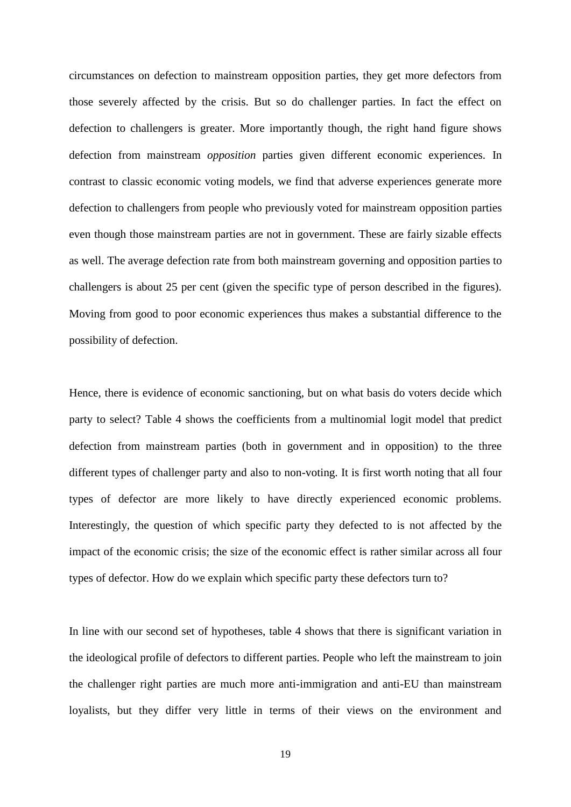circumstances on defection to mainstream opposition parties, they get more defectors from those severely affected by the crisis. But so do challenger parties. In fact the effect on defection to challengers is greater. More importantly though, the right hand figure shows defection from mainstream *opposition* parties given different economic experiences. In contrast to classic economic voting models, we find that adverse experiences generate more defection to challengers from people who previously voted for mainstream opposition parties even though those mainstream parties are not in government. These are fairly sizable effects as well. The average defection rate from both mainstream governing and opposition parties to challengers is about 25 per cent (given the specific type of person described in the figures). Moving from good to poor economic experiences thus makes a substantial difference to the possibility of defection.

Hence, there is evidence of economic sanctioning, but on what basis do voters decide which party to select? Table 4 shows the coefficients from a multinomial logit model that predict defection from mainstream parties (both in government and in opposition) to the three different types of challenger party and also to non-voting. It is first worth noting that all four types of defector are more likely to have directly experienced economic problems. Interestingly, the question of which specific party they defected to is not affected by the impact of the economic crisis; the size of the economic effect is rather similar across all four types of defector. How do we explain which specific party these defectors turn to?

In line with our second set of hypotheses, table 4 shows that there is significant variation in the ideological profile of defectors to different parties. People who left the mainstream to join the challenger right parties are much more anti-immigration and anti-EU than mainstream loyalists, but they differ very little in terms of their views on the environment and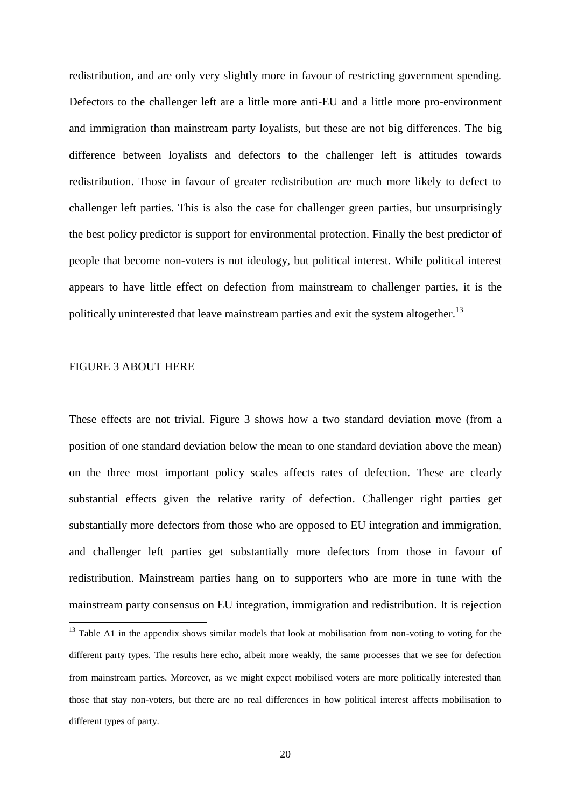redistribution, and are only very slightly more in favour of restricting government spending. Defectors to the challenger left are a little more anti-EU and a little more pro-environment and immigration than mainstream party loyalists, but these are not big differences. The big difference between loyalists and defectors to the challenger left is attitudes towards redistribution. Those in favour of greater redistribution are much more likely to defect to challenger left parties. This is also the case for challenger green parties, but unsurprisingly the best policy predictor is support for environmental protection. Finally the best predictor of people that become non-voters is not ideology, but political interest. While political interest appears to have little effect on defection from mainstream to challenger parties, it is the politically uninterested that leave mainstream parties and exit the system altogether.<sup>13</sup>

### FIGURE 3 ABOUT HERE

**.** 

These effects are not trivial. Figure 3 shows how a two standard deviation move (from a position of one standard deviation below the mean to one standard deviation above the mean) on the three most important policy scales affects rates of defection. These are clearly substantial effects given the relative rarity of defection. Challenger right parties get substantially more defectors from those who are opposed to EU integration and immigration, and challenger left parties get substantially more defectors from those in favour of redistribution. Mainstream parties hang on to supporters who are more in tune with the mainstream party consensus on EU integration, immigration and redistribution. It is rejection

 $13$  Table A1 in the appendix shows similar models that look at mobilisation from non-voting to voting for the different party types. The results here echo, albeit more weakly, the same processes that we see for defection from mainstream parties. Moreover, as we might expect mobilised voters are more politically interested than those that stay non-voters, but there are no real differences in how political interest affects mobilisation to different types of party.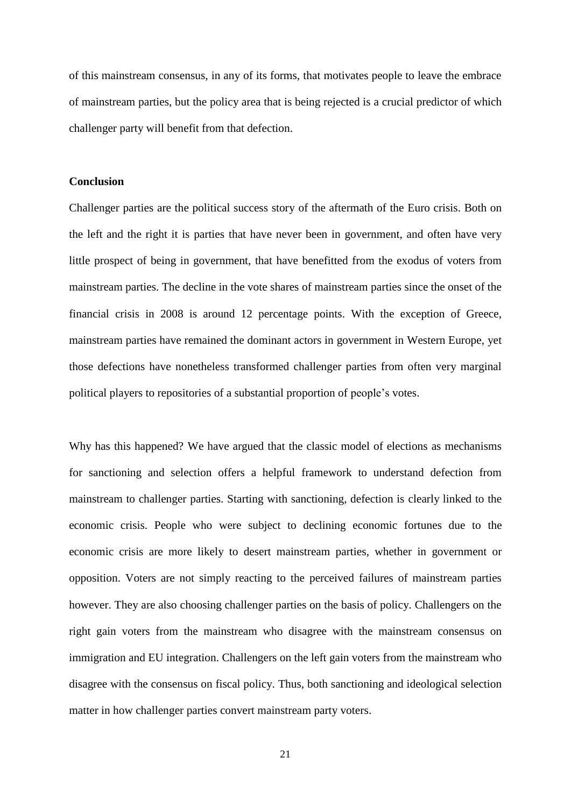of this mainstream consensus, in any of its forms, that motivates people to leave the embrace of mainstream parties, but the policy area that is being rejected is a crucial predictor of which challenger party will benefit from that defection.

### **Conclusion**

Challenger parties are the political success story of the aftermath of the Euro crisis. Both on the left and the right it is parties that have never been in government, and often have very little prospect of being in government, that have benefitted from the exodus of voters from mainstream parties. The decline in the vote shares of mainstream parties since the onset of the financial crisis in 2008 is around 12 percentage points. With the exception of Greece, mainstream parties have remained the dominant actors in government in Western Europe, yet those defections have nonetheless transformed challenger parties from often very marginal political players to repositories of a substantial proportion of people's votes.

Why has this happened? We have argued that the classic model of elections as mechanisms for sanctioning and selection offers a helpful framework to understand defection from mainstream to challenger parties. Starting with sanctioning, defection is clearly linked to the economic crisis. People who were subject to declining economic fortunes due to the economic crisis are more likely to desert mainstream parties, whether in government or opposition. Voters are not simply reacting to the perceived failures of mainstream parties however. They are also choosing challenger parties on the basis of policy. Challengers on the right gain voters from the mainstream who disagree with the mainstream consensus on immigration and EU integration. Challengers on the left gain voters from the mainstream who disagree with the consensus on fiscal policy. Thus, both sanctioning and ideological selection matter in how challenger parties convert mainstream party voters.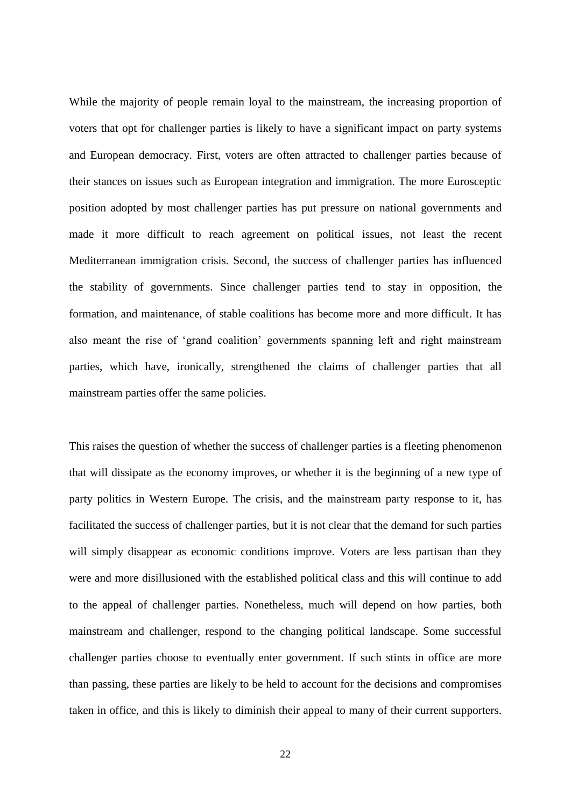While the majority of people remain loyal to the mainstream, the increasing proportion of voters that opt for challenger parties is likely to have a significant impact on party systems and European democracy. First, voters are often attracted to challenger parties because of their stances on issues such as European integration and immigration. The more Eurosceptic position adopted by most challenger parties has put pressure on national governments and made it more difficult to reach agreement on political issues, not least the recent Mediterranean immigration crisis. Second, the success of challenger parties has influenced the stability of governments. Since challenger parties tend to stay in opposition, the formation, and maintenance, of stable coalitions has become more and more difficult. It has also meant the rise of 'grand coalition' governments spanning left and right mainstream parties, which have, ironically, strengthened the claims of challenger parties that all mainstream parties offer the same policies.

This raises the question of whether the success of challenger parties is a fleeting phenomenon that will dissipate as the economy improves, or whether it is the beginning of a new type of party politics in Western Europe. The crisis, and the mainstream party response to it, has facilitated the success of challenger parties, but it is not clear that the demand for such parties will simply disappear as economic conditions improve. Voters are less partisan than they were and more disillusioned with the established political class and this will continue to add to the appeal of challenger parties. Nonetheless, much will depend on how parties, both mainstream and challenger, respond to the changing political landscape. Some successful challenger parties choose to eventually enter government. If such stints in office are more than passing, these parties are likely to be held to account for the decisions and compromises taken in office, and this is likely to diminish their appeal to many of their current supporters.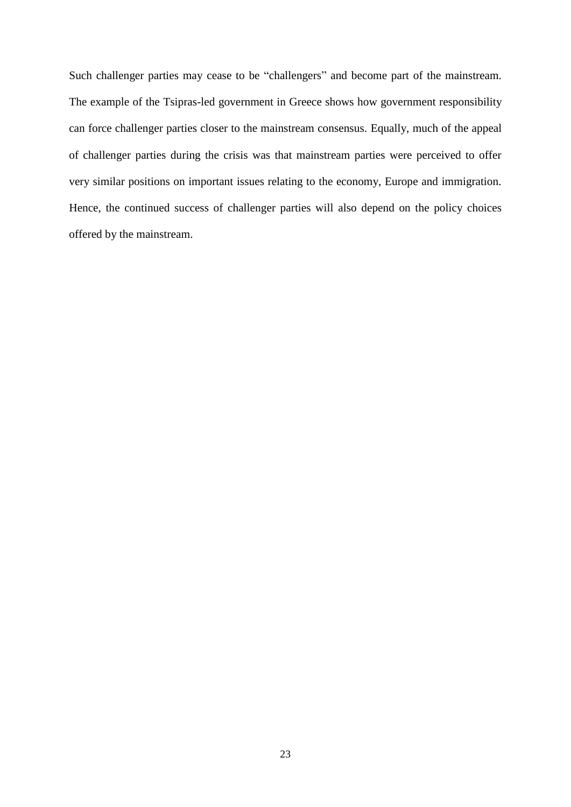Such challenger parties may cease to be "challengers" and become part of the mainstream. The example of the Tsipras-led government in Greece shows how government responsibility can force challenger parties closer to the mainstream consensus. Equally, much of the appeal of challenger parties during the crisis was that mainstream parties were perceived to offer very similar positions on important issues relating to the economy, Europe and immigration. Hence, the continued success of challenger parties will also depend on the policy choices offered by the mainstream.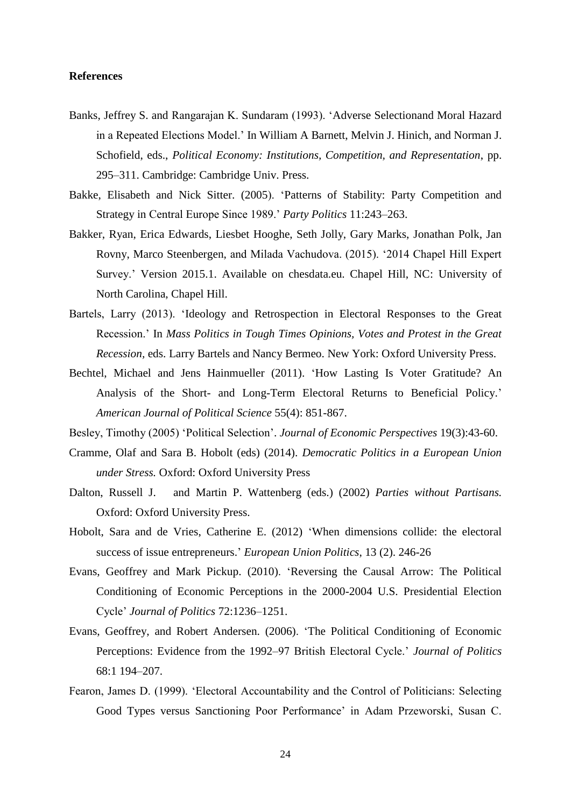### **References**

- Banks, Jeffrey S. and Rangarajan K. Sundaram (1993). 'Adverse Selectionand Moral Hazard in a Repeated Elections Model.' In William A Barnett, Melvin J. Hinich, and Norman J. Schofield, eds., *Political Economy: Institutions, Competition, and Representation*, pp. 295–311. Cambridge: Cambridge Univ. Press.
- Bakke, Elisabeth and Nick Sitter. (2005). 'Patterns of Stability: Party Competition and Strategy in Central Europe Since 1989.' *Party Politics* 11:243–263.
- Bakker, Ryan, Erica Edwards, Liesbet Hooghe, Seth Jolly, Gary Marks, Jonathan Polk, Jan Rovny, Marco Steenbergen, and Milada Vachudova. (2015). '2014 Chapel Hill Expert Survey.' Version 2015.1. Available on chesdata.eu. Chapel Hill, NC: University of North Carolina, Chapel Hill.
- Bartels, Larry (2013). 'Ideology and Retrospection in Electoral Responses to the Great Recession.' In *Mass Politics in Tough Times Opinions, Votes and Protest in the Great Recession,* eds. Larry Bartels and Nancy Bermeo. New York: Oxford University Press.
- Bechtel, Michael and Jens Hainmueller (2011). 'How Lasting Is Voter Gratitude? An Analysis of the Short- and Long-Term Electoral Returns to Beneficial Policy.' *American Journal of Political Science* 55(4): 851-867.
- Besley, Timothy (2005) 'Political Selection'. *Journal of Economic Perspectives* 19(3):43-60.
- Cramme, Olaf and Sara B. Hobolt (eds) (2014). *Democratic Politics in a European Union under Stress.* Oxford: Oxford University Press
- Dalton, Russell J. and Martin P. Wattenberg (eds.) (2002) *Parties without Partisans.* Oxford: Oxford University Press.
- Hobolt, Sara and de Vries, Catherine E. (2012) 'When dimensions collide: the electoral success of issue entrepreneurs.' *European Union Politics*, 13 (2). 246-26
- Evans, Geoffrey and Mark Pickup. (2010). 'Reversing the Causal Arrow: The Political Conditioning of Economic Perceptions in the 2000-2004 U.S. Presidential Election Cycle' *Journal of Politics* 72:1236–1251.
- Evans, Geoffrey, and Robert Andersen. (2006). 'The Political Conditioning of Economic Perceptions: Evidence from the 1992–97 British Electoral Cycle.' *Journal of Politics* 68:1 194–207.
- Fearon, James D. (1999). 'Electoral Accountability and the Control of Politicians: Selecting Good Types versus Sanctioning Poor Performance' in Adam Przeworski, Susan C.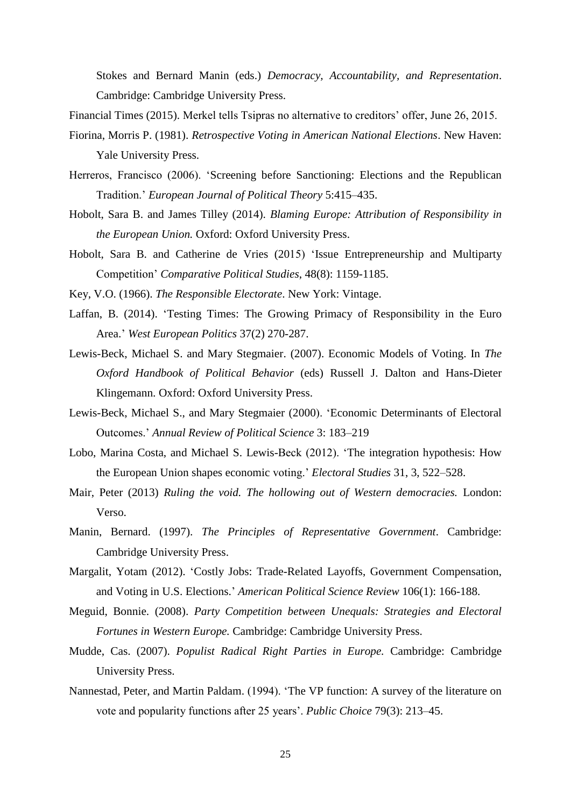Stokes and Bernard Manin (eds.) *Democracy, Accountability, and Representation*. Cambridge: Cambridge University Press.

Financial Times (2015). Merkel tells Tsipras no alternative to creditors' offer, June 26, 2015.

- Fiorina, Morris P. (1981). *Retrospective Voting in American National Elections*. New Haven: Yale University Press.
- Herreros, Francisco (2006). 'Screening before Sanctioning: Elections and the Republican Tradition.' *European Journal of Political Theory* 5:415–435.
- Hobolt, Sara B. and James Tilley (2014). *Blaming Europe: Attribution of Responsibility in the European Union.* Oxford: Oxford University Press.
- Hobolt, Sara B. and Catherine de Vries (2015) 'Issue Entrepreneurship and Multiparty Competition' *Comparative Political Studies*, 48(8): 1159-1185.
- Key, V.O. (1966). *The Responsible Electorate*. New York: Vintage.
- Laffan, B. (2014). 'Testing Times: The Growing Primacy of Responsibility in the Euro Area.' *West European Politics* 37(2) 270-287.
- Lewis-Beck, Michael S. and Mary Stegmaier. (2007). Economic Models of Voting. In *The Oxford Handbook of Political Behavior* (eds) Russell J. Dalton and Hans-Dieter Klingemann. Oxford: Oxford University Press.
- Lewis-Beck, Michael S., and Mary Stegmaier (2000). 'Economic Determinants of Electoral Outcomes.' *Annual Review of Political Science* 3: 183–219
- Lobo, Marina Costa, and Michael S. Lewis-Beck (2012). 'The integration hypothesis: How the European Union shapes economic voting.' *Electoral Studies* 31, 3, 522–528.
- Mair, Peter (2013) *Ruling the void. The hollowing out of Western democracies.* London: Verso.
- Manin, Bernard. (1997). *The Principles of Representative Government*. Cambridge: Cambridge University Press.
- Margalit, Yotam (2012). 'Costly Jobs: Trade-Related Layoffs, Government Compensation, and Voting in U.S. Elections.' *American Political Science Review* 106(1): 166-188.
- Meguid, Bonnie. (2008). *Party Competition between Unequals: Strategies and Electoral Fortunes in Western Europe.* Cambridge: Cambridge University Press.
- Mudde, Cas. (2007). *Populist Radical Right Parties in Europe.* Cambridge: Cambridge University Press.
- Nannestad, Peter, and Martin Paldam. (1994). 'The VP function: A survey of the literature on vote and popularity functions after 25 years'. *Public Choice* 79(3): 213–45.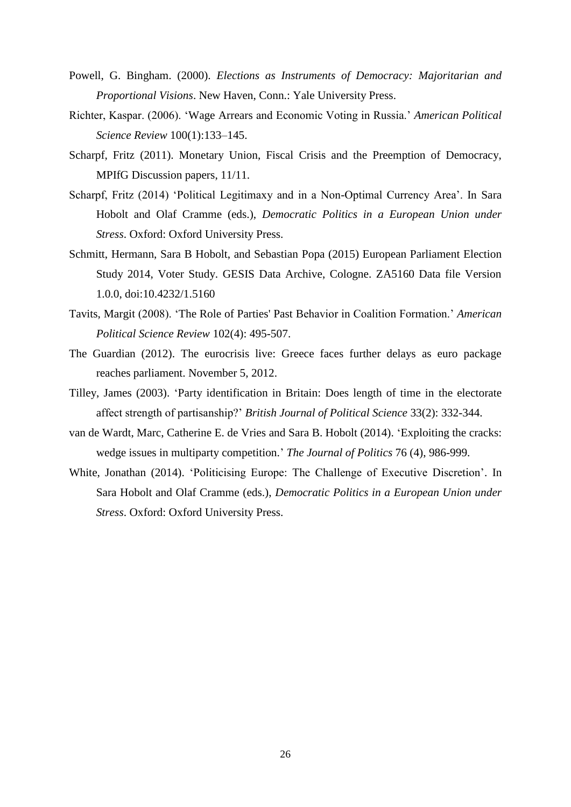- Powell, G. Bingham. (2000). *Elections as Instruments of Democracy: Majoritarian and Proportional Visions*. New Haven, Conn.: Yale University Press.
- Richter, Kaspar. (2006). 'Wage Arrears and Economic Voting in Russia.' *American Political Science Review* 100(1):133–145.
- Scharpf, Fritz (2011). Monetary Union, Fiscal Crisis and the Preemption of Democracy, MPIfG Discussion papers, 11/11.
- Scharpf, Fritz (2014) 'Political Legitimaxy and in a Non-Optimal Currency Area'. In Sara Hobolt and Olaf Cramme (eds.), *Democratic Politics in a European Union under Stress*. Oxford: Oxford University Press.
- Schmitt, Hermann, Sara B Hobolt, and Sebastian Popa (2015) European Parliament Election Study 2014, Voter Study. GESIS Data Archive, Cologne. ZA5160 Data file Version 1.0.0, doi:10.4232/1.5160
- Tavits, Margit (2008). 'The Role of Parties' Past Behavior in Coalition Formation.' *American Political Science Review* 102(4): 495-507.
- The Guardian (2012). The eurocrisis live: Greece faces further delays as euro package reaches parliament. November 5, 2012.
- Tilley, James (2003). 'Party identification in Britain: Does length of time in the electorate affect strength of partisanship?' *British Journal of Political Science* 33(2): 332-344.
- van de Wardt, Marc, Catherine E. de Vries and Sara B. Hobolt (2014). 'Exploiting the cracks: wedge issues in multiparty competition.' *The Journal of Politics* 76 (4), 986-999.
- White, Jonathan (2014). 'Politicising Europe: The Challenge of Executive Discretion'. In Sara Hobolt and Olaf Cramme (eds.), *Democratic Politics in a European Union under Stress*. Oxford: Oxford University Press.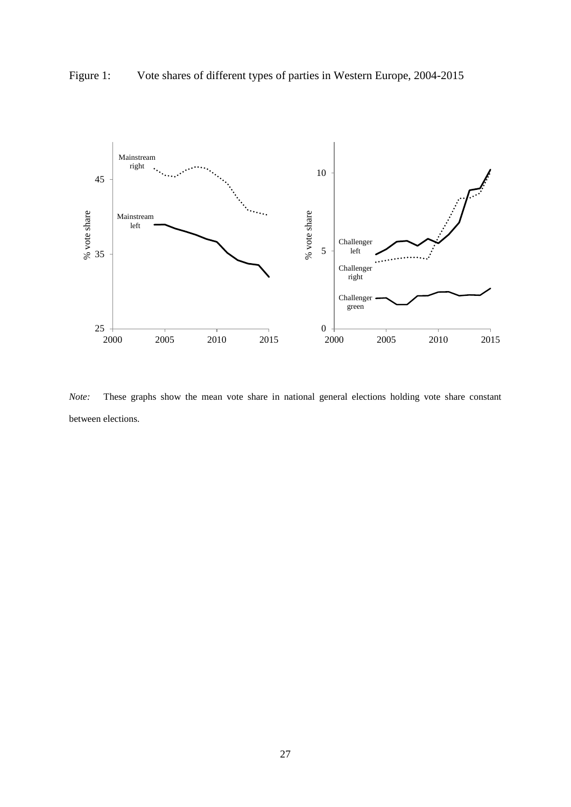

Figure 1: Vote shares of different types of parties in Western Europe, 2004-2015

*Note:* These graphs show the mean vote share in national general elections holding vote share constant between elections.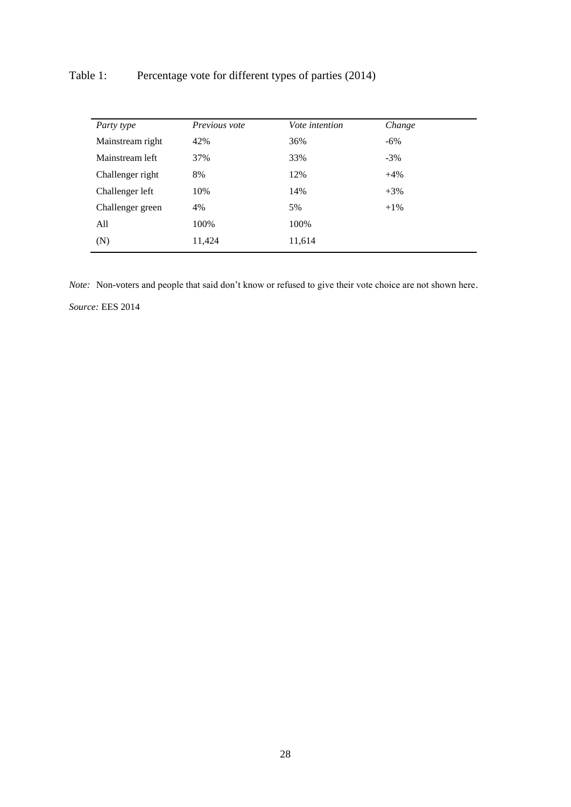# Table 1: Percentage vote for different types of parties (2014)

| Party type       | Previous vote | <i>Vote intention</i> | Change |  |
|------------------|---------------|-----------------------|--------|--|
| Mainstream right | 42%           | 36%                   | $-6\%$ |  |
| Mainstream left  | 37%           | 33%                   | $-3\%$ |  |
| Challenger right | 8%            | 12%                   | $+4%$  |  |
| Challenger left  | 10%           | 14%                   | $+3\%$ |  |
| Challenger green | 4%            | 5%                    | $+1\%$ |  |
| All              | 100%          | 100%                  |        |  |
| (N)              | 11,424        | 11,614                |        |  |

*Note:* Non-voters and people that said don't know or refused to give their vote choice are not shown here.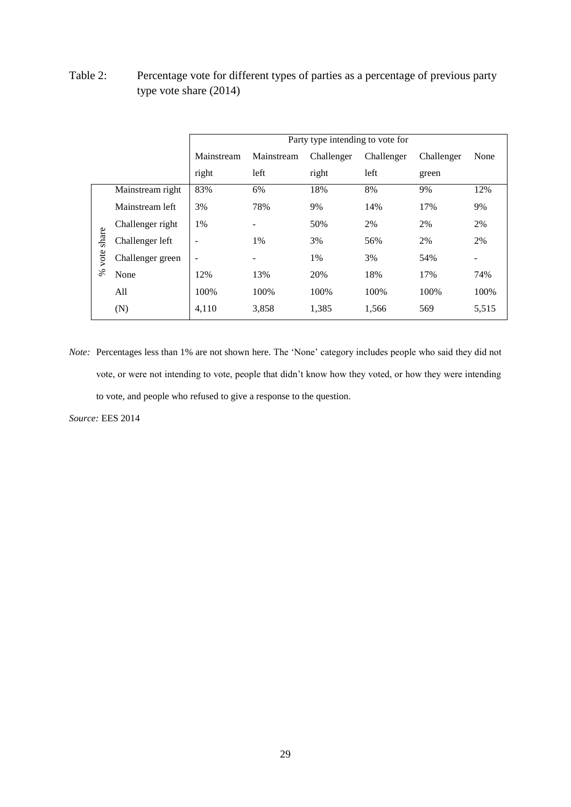Table 2: Percentage vote for different types of parties as a percentage of previous party type vote share (2014)

|       |                  |            | Party type intending to vote for |            |            |            |       |
|-------|------------------|------------|----------------------------------|------------|------------|------------|-------|
|       |                  | Mainstream | Mainstream                       | Challenger | Challenger | Challenger | None  |
|       |                  | right      | left                             | right      | left       | green      |       |
|       | Mainstream right | 83%        | 6%                               | 18%        | 8%         | 9%         | 12%   |
|       | Mainstream left  | 3%         | 78%                              | 9%         | 14%        | 17%        | 9%    |
|       | Challenger right | 1%         |                                  | 50%        | 2%         | 2%         | 2%    |
| share | Challenger left  | ٠          | 1%                               | 3%         | 56%        | 2%         | 2%    |
| vote  | Challenger green | ۰          | -                                | 1%         | 3%         | 54%        | ۰     |
| ℅     | None             | 12%        | 13%                              | 20%        | 18%        | 17%        | 74%   |
|       | All              | 100%       | 100%                             | 100%       | 100%       | 100%       | 100%  |
|       | (N)              | 4,110      | 3,858                            | 1,385      | 1,566      | 569        | 5,515 |

*Note:* Percentages less than 1% are not shown here. The 'None' category includes people who said they did not vote, or were not intending to vote, people that didn't know how they voted, or how they were intending to vote, and people who refused to give a response to the question.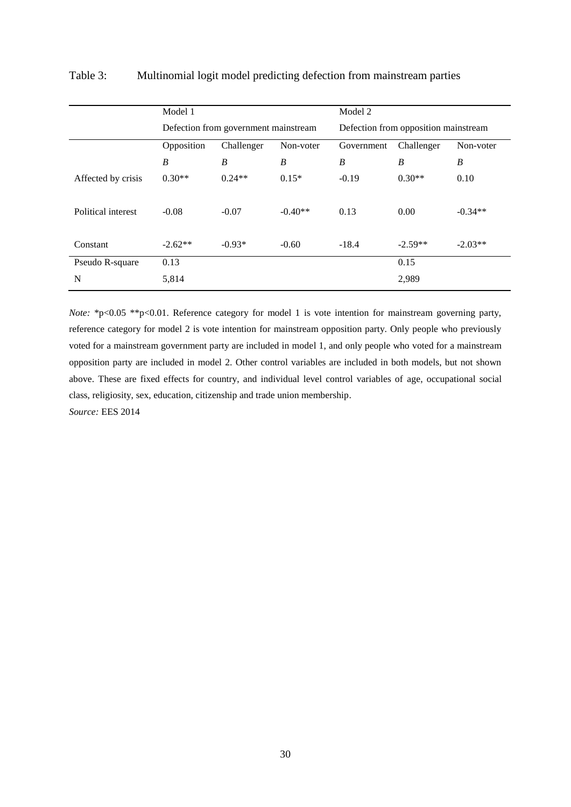|                    | Model 1          |                                      |           | Model 2    |                                      |           |  |
|--------------------|------------------|--------------------------------------|-----------|------------|--------------------------------------|-----------|--|
|                    |                  | Defection from government mainstream |           |            | Defection from opposition mainstream |           |  |
|                    | Opposition       | Challenger                           | Non-voter | Government | Challenger                           | Non-voter |  |
|                    | $\boldsymbol{B}$ | B                                    | B         | B          | B                                    | B         |  |
| Affected by crisis | $0.30**$         | $0.24**$                             | $0.15*$   | $-0.19$    | $0.30**$                             | 0.10      |  |
| Political interest | $-0.08$          | $-0.07$                              | $-0.40**$ | 0.13       | 0.00                                 | $-0.34**$ |  |
| Constant           | $-2.62**$        | $-0.93*$                             | $-0.60$   | $-18.4$    | $-2.59**$                            | $-2.03**$ |  |
| Pseudo R-square    | 0.13             |                                      |           |            | 0.15                                 |           |  |
| N                  | 5,814            |                                      |           |            | 2,989                                |           |  |

### Table 3: Multinomial logit model predicting defection from mainstream parties

*Note:* \*p<0.05 \*\*p<0.01. Reference category for model 1 is vote intention for mainstream governing party, reference category for model 2 is vote intention for mainstream opposition party. Only people who previously voted for a mainstream government party are included in model 1, and only people who voted for a mainstream opposition party are included in model 2. Other control variables are included in both models, but not shown above. These are fixed effects for country, and individual level control variables of age, occupational social class, religiosity, sex, education, citizenship and trade union membership.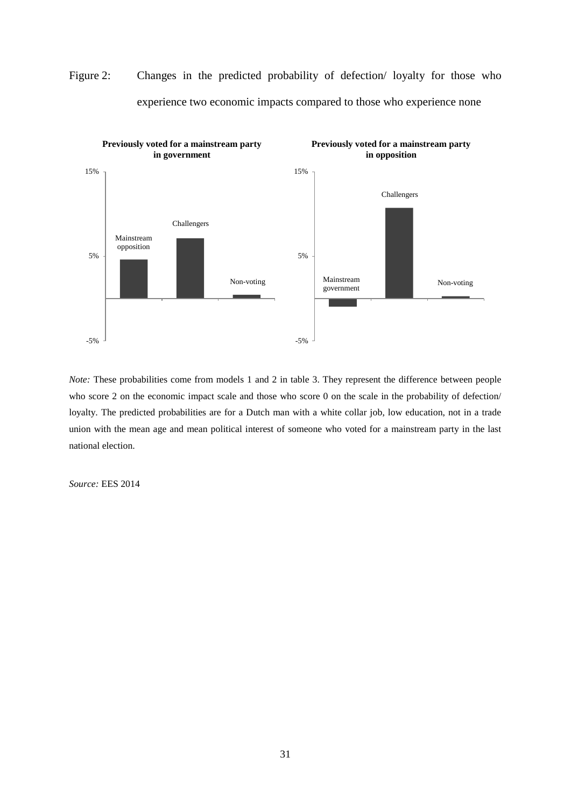

Figure 2: Changes in the predicted probability of defection/ loyalty for those who experience two economic impacts compared to those who experience none

*Note:* These probabilities come from models 1 and 2 in table 3. They represent the difference between people who score 2 on the economic impact scale and those who score 0 on the scale in the probability of defection/ loyalty. The predicted probabilities are for a Dutch man with a white collar job, low education, not in a trade union with the mean age and mean political interest of someone who voted for a mainstream party in the last national election.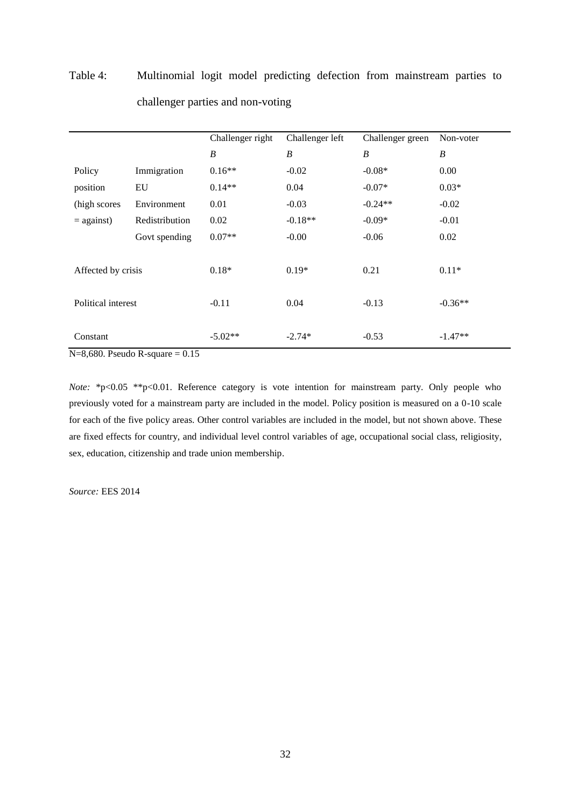|                    |                | Challenger right | Challenger left  | Challenger green | Non-voter |
|--------------------|----------------|------------------|------------------|------------------|-----------|
|                    |                | $\boldsymbol{B}$ | $\boldsymbol{B}$ | $\boldsymbol{B}$ | B         |
| Policy             | Immigration    | $0.16**$         | $-0.02$          | $-0.08*$         | 0.00      |
| position           | EU             | $0.14**$         | 0.04             | $-0.07*$         | $0.03*$   |
| (high scores)      | Environment    | 0.01             | $-0.03$          | $-0.24**$        | $-0.02$   |
| $=$ against)       | Redistribution | 0.02             | $-0.18**$        | $-0.09*$         | $-0.01$   |
|                    | Govt spending  | $0.07**$         | $-0.00$          | $-0.06$          | 0.02      |
|                    |                |                  |                  |                  |           |
| Affected by crisis |                | $0.18*$          | $0.19*$          | 0.21             | $0.11*$   |
|                    |                |                  |                  |                  |           |
| Political interest |                | $-0.11$          | 0.04             | $-0.13$          | $-0.36**$ |
|                    |                |                  |                  |                  |           |
| Constant           |                | $-5.02**$        | $-2.74*$         | $-0.53$          | $-1.47**$ |

# Table 4: Multinomial logit model predicting defection from mainstream parties to challenger parties and non-voting

 $N=8,680$ . Pseudo R-square = 0.15

*Note:* \*p<0.05 \*\*p<0.01. Reference category is vote intention for mainstream party. Only people who previously voted for a mainstream party are included in the model. Policy position is measured on a 0-10 scale for each of the five policy areas. Other control variables are included in the model, but not shown above. These are fixed effects for country, and individual level control variables of age, occupational social class, religiosity, sex, education, citizenship and trade union membership.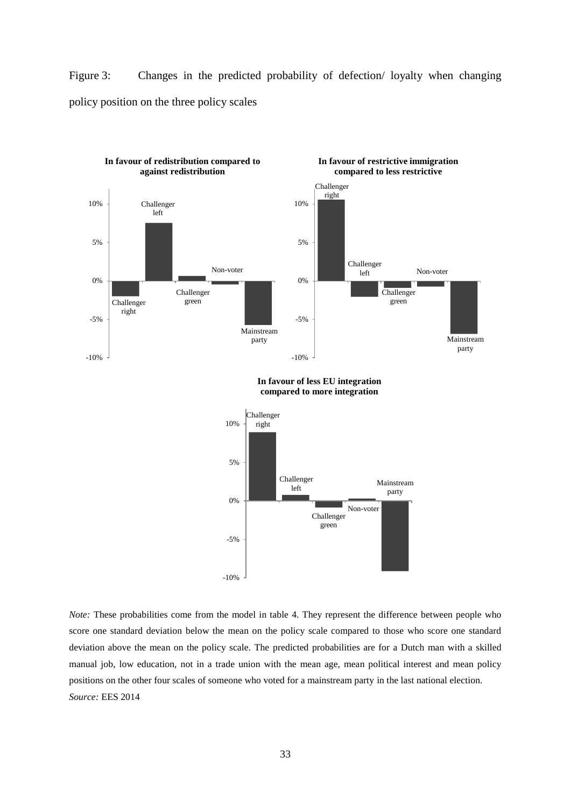Figure 3: Changes in the predicted probability of defection/ loyalty when changing policy position on the three policy scales



**In favour of less EU integration compared to more integration**



*Note:* These probabilities come from the model in table 4. They represent the difference between people who score one standard deviation below the mean on the policy scale compared to those who score one standard deviation above the mean on the policy scale. The predicted probabilities are for a Dutch man with a skilled manual job, low education, not in a trade union with the mean age, mean political interest and mean policy positions on the other four scales of someone who voted for a mainstream party in the last national election. *Source:* EES 2014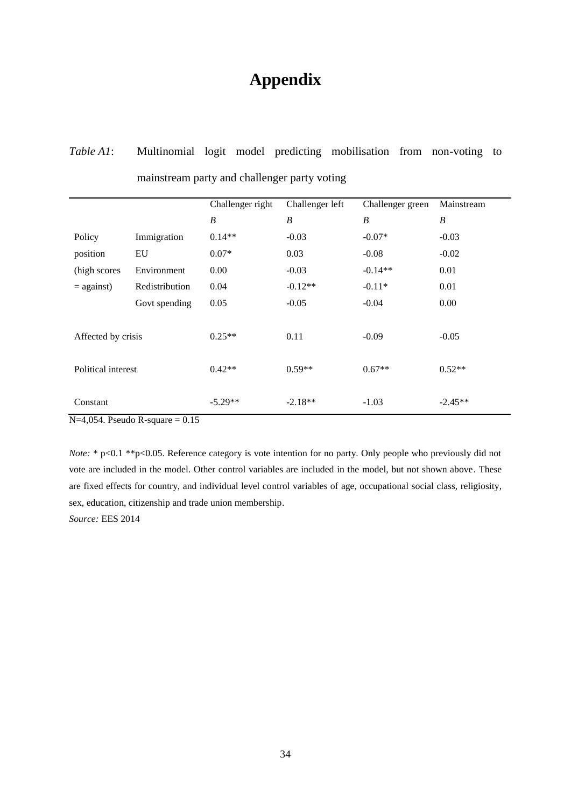# **Appendix**

# *Table A1*: Multinomial logit model predicting mobilisation from non-voting to mainstream party and challenger party voting

|                    |                | Challenger right | Challenger left  | Challenger green | Mainstream       |
|--------------------|----------------|------------------|------------------|------------------|------------------|
|                    |                | $\boldsymbol{B}$ | $\boldsymbol{B}$ | $\boldsymbol{B}$ | $\boldsymbol{B}$ |
| Policy             | Immigration    | $0.14**$         | $-0.03$          | $-0.07*$         | $-0.03$          |
| position           | EU             | $0.07*$          | 0.03             | $-0.08$          | $-0.02$          |
| (high scores)      | Environment    | 0.00             | $-0.03$          | $-0.14**$        | 0.01             |
| $=$ against)       | Redistribution | 0.04             | $-0.12**$        | $-0.11*$         | 0.01             |
|                    | Govt spending  | 0.05             | $-0.05$          | $-0.04$          | 0.00             |
|                    |                |                  |                  |                  |                  |
| Affected by crisis |                | $0.25**$         | 0.11             | $-0.09$          | $-0.05$          |
|                    |                |                  |                  |                  |                  |
| Political interest |                | $0.42**$         | $0.59**$         | $0.67**$         | $0.52**$         |
|                    |                |                  |                  |                  |                  |
| Constant           |                | $-5.29**$        | $-2.18**$        | $-1.03$          | $-2.45**$        |

 $N=4,054$ . Pseudo R-square = 0.15

*Note:* \* p<0.1 \*\* p<0.05. Reference category is vote intention for no party. Only people who previously did not vote are included in the model. Other control variables are included in the model, but not shown above. These are fixed effects for country, and individual level control variables of age, occupational social class, religiosity, sex, education, citizenship and trade union membership.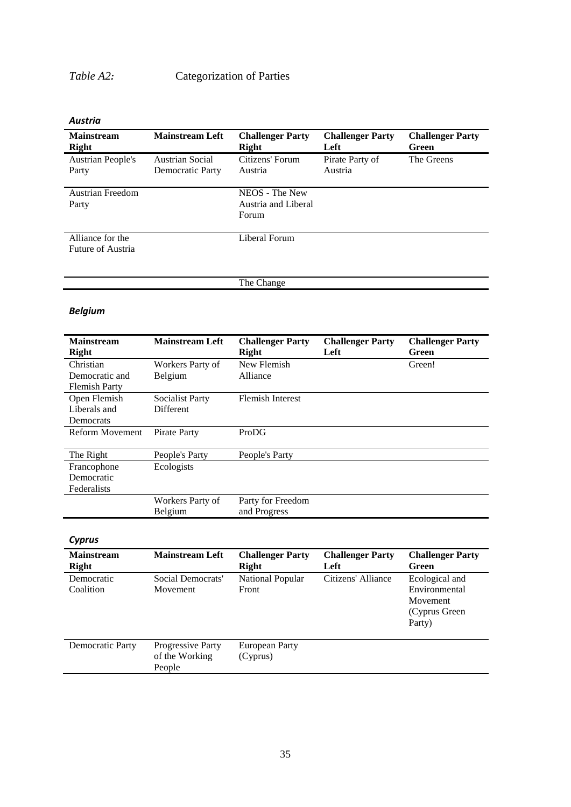# *Table A2:* Categorization of Parties

*Austria* 

| <b>Mainstream</b><br><b>Right</b>     | <b>Mainstream Left</b>              | <b>Challenger Party</b><br>Right               | <b>Challenger Party</b><br>Left | <b>Challenger Party</b><br>Green |
|---------------------------------------|-------------------------------------|------------------------------------------------|---------------------------------|----------------------------------|
| <b>Austrian People's</b><br>Party     | Austrian Social<br>Democratic Party | Citizens' Forum<br>Austria                     | Pirate Party of<br>Austria      | The Greens                       |
| Austrian Freedom<br>Party             |                                     | NEOS - The New<br>Austria and Liberal<br>Forum |                                 |                                  |
| Alliance for the<br>Future of Austria |                                     | Liberal Forum                                  |                                 |                                  |
|                                       |                                     | The Change                                     |                                 |                                  |

# *Belgium*

| <b>Mainstream</b><br><b>Right</b> | <b>Mainstream Left</b> | <b>Challenger Party</b><br><b>Right</b> | <b>Challenger Party</b><br>Left | <b>Challenger Party</b><br>Green |
|-----------------------------------|------------------------|-----------------------------------------|---------------------------------|----------------------------------|
| Christian                         | Workers Party of       | New Flemish                             |                                 | Green!                           |
| Democratic and                    | Belgium                | Alliance                                |                                 |                                  |
| <b>Flemish Party</b>              |                        |                                         |                                 |                                  |
| Open Flemish                      | <b>Socialist Party</b> | <b>Flemish Interest</b>                 |                                 |                                  |
| Liberals and                      | <b>Different</b>       |                                         |                                 |                                  |
| Democrats                         |                        |                                         |                                 |                                  |
| <b>Reform Movement</b>            | Pirate Party           | ProDG                                   |                                 |                                  |
|                                   |                        |                                         |                                 |                                  |
| The Right                         | People's Party         | People's Party                          |                                 |                                  |
| Francophone                       | Ecologists             |                                         |                                 |                                  |
| Democratic                        |                        |                                         |                                 |                                  |
| Federalists                       |                        |                                         |                                 |                                  |
|                                   | Workers Party of       | Party for Freedom                       |                                 |                                  |
|                                   | Belgium                | and Progress                            |                                 |                                  |

# *Cyprus*

| <b>Mainstream</b><br><b>Right</b> | <b>Mainstream Left</b>                        | <b>Challenger Party</b><br>Right | <b>Challenger Party</b><br>Left | <b>Challenger Party</b><br>Green                                        |
|-----------------------------------|-----------------------------------------------|----------------------------------|---------------------------------|-------------------------------------------------------------------------|
| Democratic<br>Coalition           | Social Democrats'<br>Movement                 | National Popular<br>Front        | Citizens' Alliance              | Ecological and<br>Environmental<br>Movement<br>(Cyprus Green)<br>Party) |
| Democratic Party                  | Progressive Party<br>of the Working<br>People | European Party<br>(Cyprus)       |                                 |                                                                         |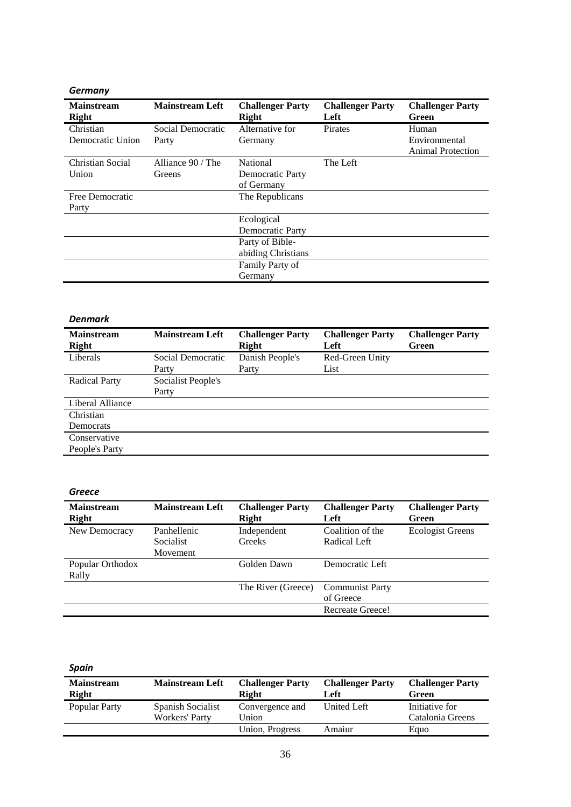### *Germany*

| <b>Mainstream</b><br>Right | <b>Mainstream Left</b> | <b>Challenger Party</b><br>Right | <b>Challenger Party</b><br>Left | <b>Challenger Party</b><br>Green |
|----------------------------|------------------------|----------------------------------|---------------------------------|----------------------------------|
| Christian                  | Social Democratic      | Alternative for                  | Pirates                         | Human                            |
| Democratic Union           | Party                  | Germany                          |                                 | Environmental                    |
|                            |                        |                                  |                                 | <b>Animal Protection</b>         |
| Christian Social           | Alliance 90 / The      | <b>National</b>                  | The Left                        |                                  |
| Union                      | Greens                 | Democratic Party                 |                                 |                                  |
|                            |                        | of Germany                       |                                 |                                  |
| Free Democratic            |                        | The Republicans                  |                                 |                                  |
| Party                      |                        |                                  |                                 |                                  |
|                            |                        | Ecological                       |                                 |                                  |
|                            |                        | Democratic Party                 |                                 |                                  |
|                            |                        | Party of Bible-                  |                                 |                                  |
|                            |                        | abiding Christians               |                                 |                                  |
|                            |                        | Family Party of                  |                                 |                                  |
|                            |                        | Germany                          |                                 |                                  |

### *Denmark*

| <b>Mainstream</b><br>Right | <b>Mainstream Left</b> | <b>Challenger Party</b><br>Right | <b>Challenger Party</b><br>Left | <b>Challenger Party</b><br>Green |
|----------------------------|------------------------|----------------------------------|---------------------------------|----------------------------------|
| Liberals                   | Social Democratic      | Danish People's                  | Red-Green Unity                 |                                  |
|                            | Party                  | Party                            | List                            |                                  |
| <b>Radical Party</b>       | Socialist People's     |                                  |                                 |                                  |
|                            | Party                  |                                  |                                 |                                  |
| Liberal Alliance           |                        |                                  |                                 |                                  |
| Christian                  |                        |                                  |                                 |                                  |
| Democrats                  |                        |                                  |                                 |                                  |
| Conservative               |                        |                                  |                                 |                                  |
| People's Party             |                        |                                  |                                 |                                  |

### *Greece*

| <b>Mainstream</b><br><b>Right</b> | <b>Mainstream Left</b>                      | <b>Challenger Party</b><br><b>Right</b> | <b>Challenger Party</b><br>Left     | <b>Challenger Party</b><br>Green |
|-----------------------------------|---------------------------------------------|-----------------------------------------|-------------------------------------|----------------------------------|
| New Democracy                     | Panhellenic<br><b>Socialist</b><br>Movement | Independent<br>Greeks                   | Coalition of the<br>Radical Left    | <b>Ecologist Greens</b>          |
| Popular Orthodox<br>Rally         |                                             | Golden Dawn                             | Democratic Left                     |                                  |
|                                   |                                             | The River (Greece)                      | <b>Communist Party</b><br>of Greece |                                  |
|                                   |                                             |                                         | Recreate Greece!                    |                                  |

## *Spain*

| <b>Mainstream</b><br><b>Right</b> | <b>Mainstream Left</b>              | <b>Challenger Party</b><br><b>Right</b> | <b>Challenger Party</b><br>Left | <b>Challenger Party</b><br>Green   |
|-----------------------------------|-------------------------------------|-----------------------------------------|---------------------------------|------------------------------------|
| Popular Party                     | Spanish Socialist<br>Workers' Party | Convergence and<br>Union                | United Left                     | Initiative for<br>Catalonia Greens |
|                                   |                                     | Union, Progress                         | Amaiur                          | Eauo                               |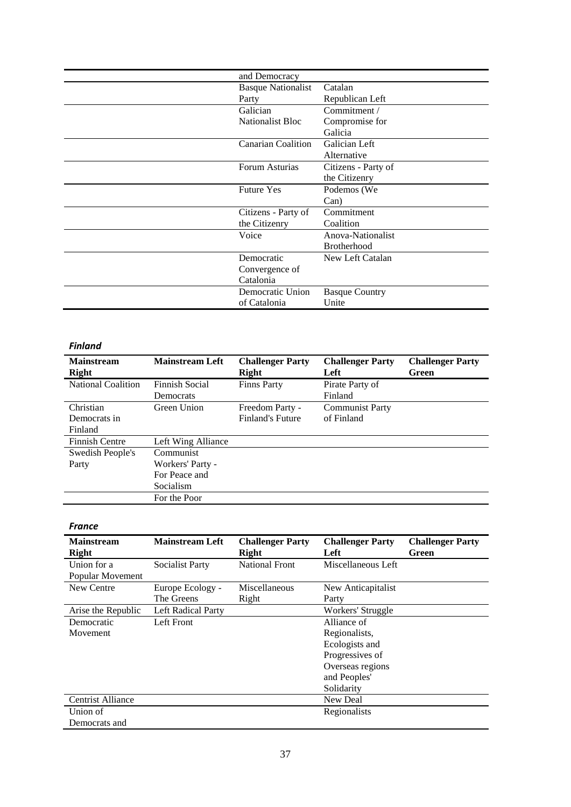| and Democracy             |                       |
|---------------------------|-----------------------|
| <b>Basque Nationalist</b> | Catalan               |
| Party                     | Republican Left       |
| Galician                  | Commitment /          |
| <b>Nationalist Bloc</b>   | Compromise for        |
|                           | Galicia               |
| <b>Canarian Coalition</b> | Galician Left         |
|                           | Alternative           |
| Forum Asturias            | Citizens - Party of   |
|                           | the Citizenry         |
| <b>Future Yes</b>         | Podemos (We           |
|                           | Can)                  |
| Citizens - Party of       | Commitment            |
| the Citizenry             | Coalition             |
| Voice                     | Anova-Nationalist     |
|                           | <b>Brotherhood</b>    |
| Democratic                | New Left Catalan      |
| Convergence of            |                       |
| Catalonia                 |                       |
| Democratic Union          | <b>Basque Country</b> |
| of Catalonia              | Unite                 |

### *Finland*

| <b>Mainstream</b><br>Right | <b>Mainstream Left</b> | <b>Challenger Party</b><br>Right | <b>Challenger Party</b><br>Left | <b>Challenger Party</b><br>Green |
|----------------------------|------------------------|----------------------------------|---------------------------------|----------------------------------|
| National Coalition         | Finnish Social         | <b>Finns Party</b>               | Pirate Party of                 |                                  |
|                            | Democrats              |                                  | Finland                         |                                  |
| Christian                  | Green Union            | Freedom Party -                  | <b>Communist Party</b>          |                                  |
| Democrats in               |                        | <b>Finland's Future</b>          | of Finland                      |                                  |
| Finland                    |                        |                                  |                                 |                                  |
| <b>Finnish Centre</b>      | Left Wing Alliance     |                                  |                                 |                                  |
| Swedish People's           | Communist              |                                  |                                 |                                  |
| Party                      | Workers' Party -       |                                  |                                 |                                  |
|                            | For Peace and          |                                  |                                 |                                  |
|                            | <b>Socialism</b>       |                                  |                                 |                                  |
|                            | For the Poor           |                                  |                                 |                                  |

### *France*

| <b>Mainstream</b><br><b>Right</b> | <b>Mainstream Left</b> | <b>Challenger Party</b><br>Right | <b>Challenger Party</b><br>Left | <b>Challenger Party</b><br>Green |
|-----------------------------------|------------------------|----------------------------------|---------------------------------|----------------------------------|
| Union for a                       | <b>Socialist Party</b> | <b>National Front</b>            | Miscellaneous Left              |                                  |
| Popular Movement                  |                        |                                  |                                 |                                  |
| New Centre                        | Europe Ecology -       | Miscellaneous                    | New Anticapitalist              |                                  |
|                                   | The Greens             | Right                            | Party                           |                                  |
| Arise the Republic                | Left Radical Party     |                                  | Workers' Struggle               |                                  |
| Democratic                        | Left Front             |                                  | Alliance of                     |                                  |
| Movement                          |                        |                                  | Regionalists,                   |                                  |
|                                   |                        |                                  | Ecologists and                  |                                  |
|                                   |                        |                                  | Progressives of                 |                                  |
|                                   |                        |                                  | Overseas regions                |                                  |
|                                   |                        |                                  | and Peoples'                    |                                  |
|                                   |                        |                                  | Solidarity                      |                                  |
| <b>Centrist Alliance</b>          |                        |                                  | New Deal                        |                                  |
| Union of                          |                        |                                  | Regionalists                    |                                  |
| Democrats and                     |                        |                                  |                                 |                                  |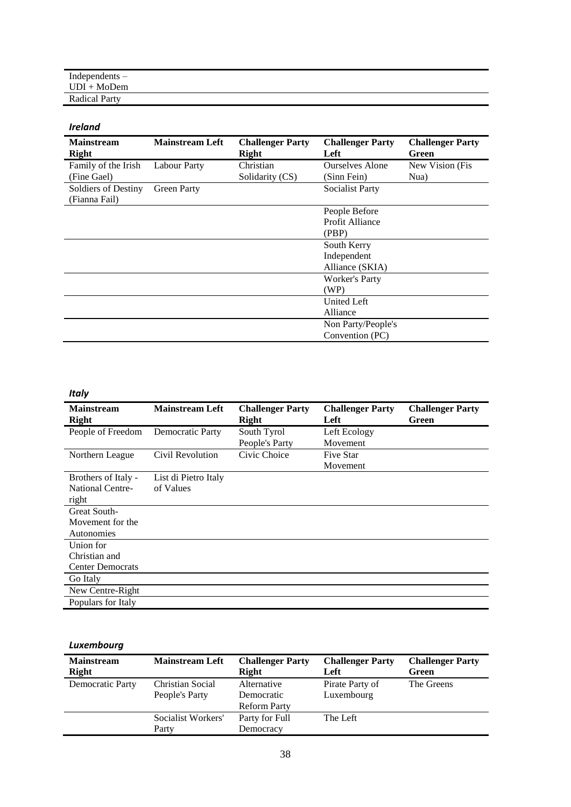| Independents $-$     |  |  |  |
|----------------------|--|--|--|
| $UDI + MoDem$        |  |  |  |
| <b>Radical Party</b> |  |  |  |

### *Ireland*

| <b>Mainstream</b><br><b>Right</b>    | <b>Mainstream Left</b> | <b>Challenger Party</b><br>Right | <b>Challenger Party</b><br>Left | <b>Challenger Party</b><br>Green |
|--------------------------------------|------------------------|----------------------------------|---------------------------------|----------------------------------|
| Family of the Irish                  | <b>Labour Party</b>    | Christian                        | <b>Ourselves Alone</b>          | New Vision (Fis.                 |
| (Fine Gael)                          |                        | Solidarity (CS)                  | (Sinn Fein)                     | Nua)                             |
| Soldiers of Destiny<br>(Fianna Fail) | <b>Green Party</b>     |                                  | <b>Socialist Party</b>          |                                  |
|                                      |                        |                                  | People Before                   |                                  |
|                                      |                        |                                  | Profit Alliance                 |                                  |
|                                      |                        |                                  | (PBP)                           |                                  |
|                                      |                        |                                  | South Kerry                     |                                  |
|                                      |                        |                                  | Independent                     |                                  |
|                                      |                        |                                  | Alliance (SKIA)                 |                                  |
|                                      |                        |                                  | <b>Worker's Party</b>           |                                  |
|                                      |                        |                                  | (WP)                            |                                  |
|                                      |                        |                                  | United Left                     |                                  |
|                                      |                        |                                  | Alliance                        |                                  |
|                                      |                        |                                  | Non Party/People's              |                                  |
|                                      |                        |                                  | Convention (PC)                 |                                  |

### *Italy*

| <b>Mainstream</b>       | <b>Mainstream Left</b> | <b>Challenger Party</b> | <b>Challenger Party</b> | <b>Challenger Party</b> |
|-------------------------|------------------------|-------------------------|-------------------------|-------------------------|
| Right                   |                        | Right                   | Left                    | Green                   |
| People of Freedom       | Democratic Party       | South Tyrol             | Left Ecology            |                         |
|                         |                        | People's Party          | Movement                |                         |
| Northern League         | Civil Revolution       | Civic Choice            | Five Star               |                         |
|                         |                        |                         | Movement                |                         |
| Brothers of Italy -     | List di Pietro Italy   |                         |                         |                         |
| National Centre-        | of Values              |                         |                         |                         |
| right                   |                        |                         |                         |                         |
| Great South-            |                        |                         |                         |                         |
| Movement for the        |                        |                         |                         |                         |
| Autonomies              |                        |                         |                         |                         |
| Union for               |                        |                         |                         |                         |
| Christian and           |                        |                         |                         |                         |
| <b>Center Democrats</b> |                        |                         |                         |                         |
| Go Italy                |                        |                         |                         |                         |
| New Centre-Right        |                        |                         |                         |                         |
| Populars for Italy      |                        |                         |                         |                         |

### *Luxembourg*

| <b>Mainstream</b><br><b>Right</b> | <b>Mainstream Left</b>             | <b>Challenger Party</b><br><b>Right</b>          | <b>Challenger Party</b><br>Left | <b>Challenger Party</b><br>Green |
|-----------------------------------|------------------------------------|--------------------------------------------------|---------------------------------|----------------------------------|
| Democratic Party                  | Christian Social<br>People's Party | Alternative<br>Democratic<br><b>Reform Party</b> | Pirate Party of<br>Luxembourg   | The Greens                       |
|                                   | Socialist Workers'<br>Party        | Party for Full<br>Democracy                      | The Left                        |                                  |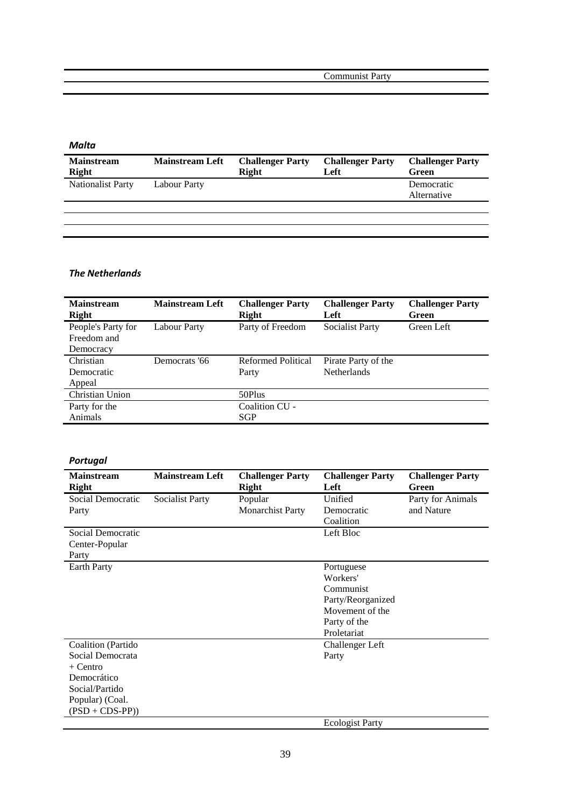Communist Party

| Malta                             |                        |                                         |                                 |                                  |
|-----------------------------------|------------------------|-----------------------------------------|---------------------------------|----------------------------------|
| <b>Mainstream</b><br><b>Right</b> | <b>Mainstream Left</b> | <b>Challenger Party</b><br><b>Right</b> | <b>Challenger Party</b><br>Left | <b>Challenger Party</b><br>Green |
| <b>Nationalist Party</b>          | <b>Labour Party</b>    |                                         |                                 | Democratic<br>Alternative        |
|                                   |                        |                                         |                                 |                                  |
|                                   |                        |                                         |                                 |                                  |
|                                   |                        |                                         |                                 |                                  |

### *The Netherlands*

| <b>Mainstream</b><br><b>Right</b> | <b>Mainstream Left</b> | <b>Challenger Party</b><br>Right | <b>Challenger Party</b><br>Left | <b>Challenger Party</b><br>Green |
|-----------------------------------|------------------------|----------------------------------|---------------------------------|----------------------------------|
| People's Party for                | <b>Labour Party</b>    | Party of Freedom                 | <b>Socialist Party</b>          | Green Left                       |
| Freedom and                       |                        |                                  |                                 |                                  |
| Democracy                         |                        |                                  |                                 |                                  |
| Christian                         | Democrats '66          | <b>Reformed Political</b>        | Pirate Party of the             |                                  |
| Democratic                        |                        | Party                            | <b>Netherlands</b>              |                                  |
| Appeal                            |                        |                                  |                                 |                                  |
| <b>Christian Union</b>            |                        | 50Plus                           |                                 |                                  |
| Party for the                     |                        | Coalition CU -                   |                                 |                                  |
| <b>Animals</b>                    |                        | SGP                              |                                 |                                  |

## *Portugal*

| <b>Mainstream</b><br><b>Right</b> | <b>Mainstream Left</b> | <b>Challenger Party</b><br><b>Right</b> | <b>Challenger Party</b><br>Left | <b>Challenger Party</b><br>Green |
|-----------------------------------|------------------------|-----------------------------------------|---------------------------------|----------------------------------|
| Social Democratic                 | Socialist Party        | Popular                                 | Unified                         | Party for Animals                |
| Party                             |                        | <b>Monarchist Party</b>                 | Democratic                      | and Nature                       |
|                                   |                        |                                         | Coalition                       |                                  |
| Social Democratic                 |                        |                                         | Left Bloc                       |                                  |
| Center-Popular                    |                        |                                         |                                 |                                  |
| Party                             |                        |                                         |                                 |                                  |
| Earth Party                       |                        |                                         | Portuguese                      |                                  |
|                                   |                        |                                         | Workers'                        |                                  |
|                                   |                        |                                         | Communist                       |                                  |
|                                   |                        |                                         | Party/Reorganized               |                                  |
|                                   |                        |                                         | Movement of the                 |                                  |
|                                   |                        |                                         | Party of the                    |                                  |
|                                   |                        |                                         | Proletariat                     |                                  |
| Coalition (Partido                |                        |                                         | <b>Challenger Left</b>          |                                  |
| Social Democrata                  |                        |                                         | Party                           |                                  |
| $+$ Centro                        |                        |                                         |                                 |                                  |
| Democrático                       |                        |                                         |                                 |                                  |
| Social/Partido                    |                        |                                         |                                 |                                  |
| Popular) (Coal.                   |                        |                                         |                                 |                                  |
| $(PSD + CDS-PP))$                 |                        |                                         |                                 |                                  |
|                                   |                        |                                         | <b>Ecologist Party</b>          |                                  |